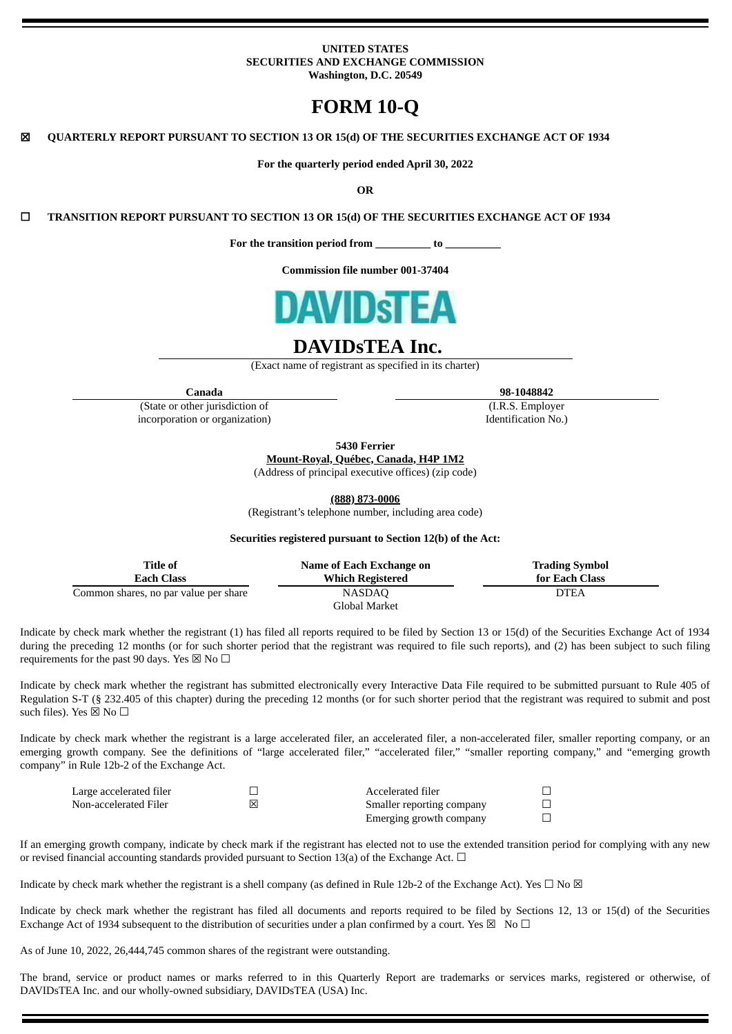#### **UNITED STATES SECURITIES AND EXCHANGE COMMISSION Washington, D.C. 20549**

# **FORM 10-Q**

#### ☒ **QUARTERLY REPORT PURSUANT TO SECTION 13 OR 15(d) OF THE SECURITIES EXCHANGE ACT OF 1934**

**For the quarterly period ended April 30, 2022**

**OR**

☐ **TRANSITION REPORT PURSUANT TO SECTION 13 OR 15(d) OF THE SECURITIES EXCHANGE ACT OF 1934**

**For the transition period from \_\_\_\_\_\_\_\_\_\_ to \_\_\_\_\_\_\_\_\_\_**

**Commission file number 001-37404**



# **DAVIDsTEA Inc.**

(Exact name of registrant as specified in its charter)

(State or other jurisdiction of incorporation or organization)

**Canada 98-1048842**

(I.R.S. Employer Identification No.)

**5430 Ferrier**

**Mount-Royal, Québec, Canada, H4P 1M2**

(Address of principal executive offices) (zip code)

**(888) 873-0006**

(Registrant's telephone number, including area code)

**Securities registered pursuant to Section 12(b) of the Act:**

| Title of<br><b>Each Class</b>         | Name of Each Exchange on<br><b>Which Registered</b> | <b>Trading Symbol</b><br>for Each Class |
|---------------------------------------|-----------------------------------------------------|-----------------------------------------|
| Common shares, no par value per share | NASDAQ                                              | DTEA                                    |
|                                       | Global Market                                       |                                         |

Indicate by check mark whether the registrant (1) has filed all reports required to be filed by Section 13 or 15(d) of the Securities Exchange Act of 1934 during the preceding 12 months (or for such shorter period that the registrant was required to file such reports), and (2) has been subject to such filing requirements for the past 90 days. Yes  $\boxtimes$  No  $\Box$ 

Indicate by check mark whether the registrant has submitted electronically every Interactive Data File required to be submitted pursuant to Rule 405 of Regulation S-T (§ 232.405 of this chapter) during the preceding 12 months (or for such shorter period that the registrant was required to submit and post such files). Yes  $\boxtimes$  No  $\Box$ 

Indicate by check mark whether the registrant is a large accelerated filer, an accelerated filer, a non-accelerated filer, smaller reporting company, or an emerging growth company. See the definitions of "large accelerated filer," "accelerated filer," "smaller reporting company," and "emerging growth company" in Rule 12b-2 of the Exchange Act.

| Large accelerated filer |   | Accelerated filer         |  |
|-------------------------|---|---------------------------|--|
| Non-accelerated Filer   | × | Smaller reporting company |  |
|                         |   | Emerging growth company   |  |

If an emerging growth company, indicate by check mark if the registrant has elected not to use the extended transition period for complying with any new or revised financial accounting standards provided pursuant to Section 13(a) of the Exchange Act.  $\Box$ 

Indicate by check mark whether the registrant is a shell company (as defined in Rule 12b-2 of the Exchange Act). Yes  $\Box$  No  $\boxtimes$ 

Indicate by check mark whether the registrant has filed all documents and reports required to be filed by Sections 12, 13 or 15(d) of the Securities Exchange Act of 1934 subsequent to the distribution of securities under a plan confirmed by a court. Yes  $\boxtimes$  No  $\Box$ 

As of June 10, 2022, 26,444,745 common shares of the registrant were outstanding.

The brand, service or product names or marks referred to in this Quarterly Report are trademarks or services marks, registered or otherwise, of DAVIDsTEA Inc. and our wholly-owned subsidiary, DAVIDsTEA (USA) Inc.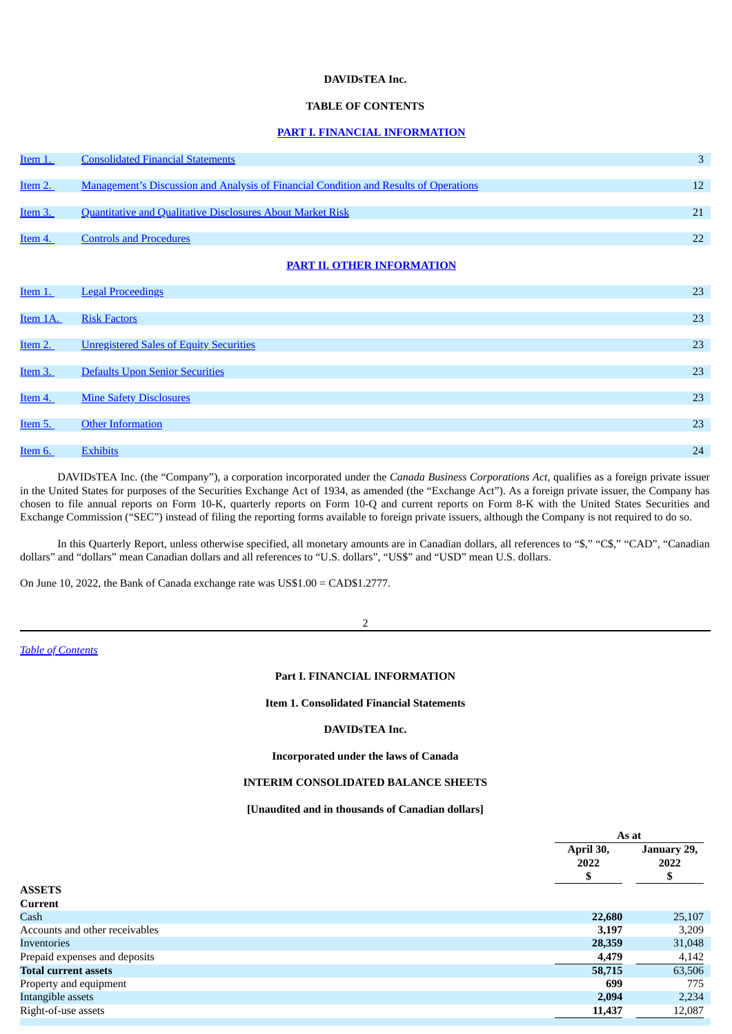#### **DAVIDsTEA Inc.**

# <span id="page-1-2"></span>**TABLE OF CONTENTS**

### **PART I. FINANCIAL [INFORMATION](#page-1-0)**

| Item 1. | <b>Consolidated Financial Statements</b>                                                     | 3  |
|---------|----------------------------------------------------------------------------------------------|----|
|         |                                                                                              |    |
| Item 2. | <b>Management's Discussion and Analysis of Financial Condition and Results of Operations</b> | 12 |
|         |                                                                                              |    |
| Item 3. | <b>Quantitative and Qualitative Disclosures About Market Risk</b>                            | 21 |
|         |                                                                                              |    |
| Item 4. | <b>Controls and Procedures</b>                                                               | 22 |
|         |                                                                                              |    |
|         | <b>PART II. OTHER INFORMATION</b>                                                            |    |
|         |                                                                                              |    |

| <u>Item 1.</u> | <b>Legal Proceedings</b>                       | 23 |
|----------------|------------------------------------------------|----|
|                |                                                |    |
| Item 1A.       | <b>Risk Factors</b>                            | 23 |
|                |                                                |    |
| Item 2.        | <b>Unregistered Sales of Equity Securities</b> | 23 |
|                |                                                |    |
| Item 3.        | Defaults Upon Senior Securities                | 23 |
|                |                                                |    |
| Item 4.        | <b>Mine Safety Disclosures</b>                 | 23 |
|                |                                                |    |
| <b>Item 5.</b> | Other Information                              | 23 |
|                |                                                |    |
| Item 6.        | <b>Exhibits</b>                                | 24 |
|                |                                                |    |

DAVIDsTEA Inc. (the "Company"), a corporation incorporated under the *Canada Business Corporations Act*, qualifies as a foreign private issuer in the United States for purposes of the Securities Exchange Act of 1934, as amended (the "Exchange Act"). As a foreign private issuer, the Company has chosen to file annual reports on Form 10-K, quarterly reports on Form 10-Q and current reports on Form 8-K with the United States Securities and Exchange Commission ("SEC") instead of filing the reporting forms available to foreign private issuers, although the Company is not required to do so.

In this Quarterly Report, unless otherwise specified, all monetary amounts are in Canadian dollars, all references to "\$," "C\$," "CAD", "Canadian dollars" and "dollars" mean Canadian dollars and all references to "U.S. dollars", "US\$" and "USD" mean U.S. dollars.

On June 10, 2022, the Bank of Canada exchange rate was US\$1.00 = CAD\$1.2777.

*Table of [Contents](#page-1-2)*

# <span id="page-1-0"></span>**Part I. FINANCIAL INFORMATION**

2

### <span id="page-1-1"></span>**Item 1. Consolidated Financial Statements**

#### **DAVIDsTEA Inc.**

#### **Incorporated under the laws of Canada**

#### **INTERIM CONSOLIDATED BALANCE SHEETS**

#### **[Unaudited and in thousands of Canadian dollars]**

|                                | As at             |                          |
|--------------------------------|-------------------|--------------------------|
|                                | April 30,<br>2022 | January 29,<br>2022<br>ъ |
| <b>ASSETS</b>                  |                   |                          |
| Current                        |                   |                          |
| Cash                           | 22,680            | 25,107                   |
| Accounts and other receivables | 3,197             | 3,209                    |
| <b>Inventories</b>             | 28,359            | 31,048                   |
| Prepaid expenses and deposits  | 4,479             | 4,142                    |
| <b>Total current assets</b>    | 58,715            | 63,506                   |
| Property and equipment         | 699               | 775                      |
| Intangible assets              | 2,094             | 2,234                    |
| Right-of-use assets            | 11,437            | 12,087                   |
|                                |                   |                          |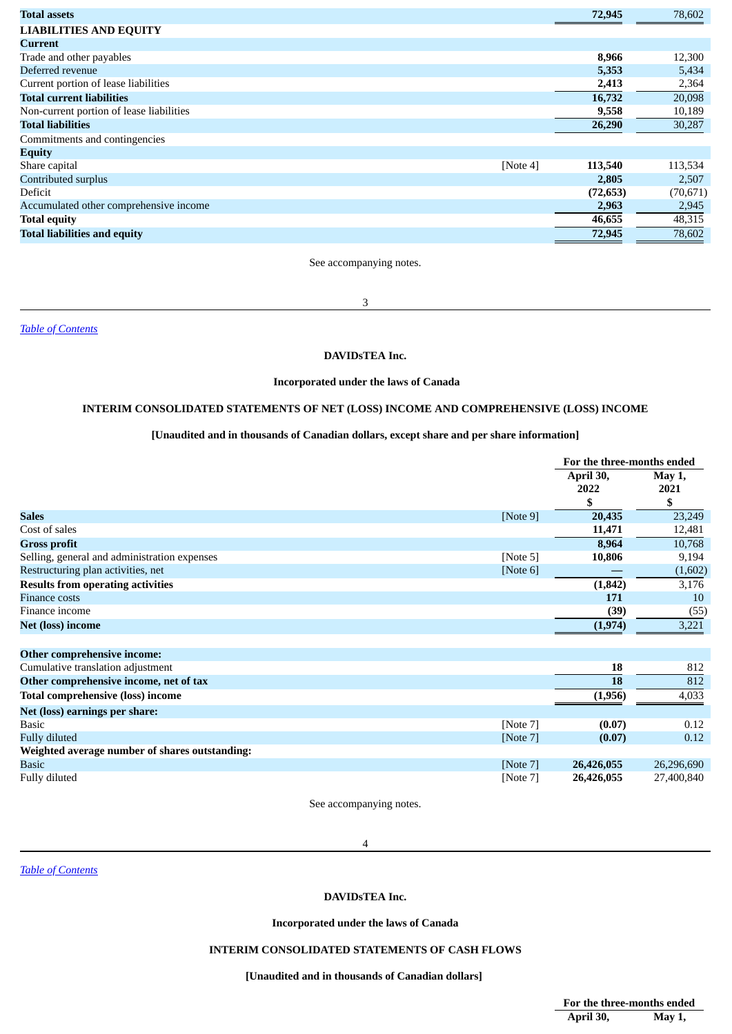| <b>Total assets</b>                      |             | 72,945    | 78,602    |
|------------------------------------------|-------------|-----------|-----------|
| <b>LIABILITIES AND EQUITY</b>            |             |           |           |
| <b>Current</b>                           |             |           |           |
| Trade and other payables                 |             | 8,966     | 12,300    |
| Deferred revenue                         |             | 5,353     | 5,434     |
| Current portion of lease liabilities     |             | 2,413     | 2,364     |
| <b>Total current liabilities</b>         |             | 16,732    | 20,098    |
| Non-current portion of lease liabilities |             | 9,558     | 10,189    |
| <b>Total liabilities</b>                 |             | 26,290    | 30,287    |
| Commitments and contingencies            |             |           |           |
| <b>Equity</b>                            |             |           |           |
| Share capital                            | [Note $4$ ] | 113,540   | 113,534   |
| Contributed surplus                      |             | 2,805     | 2,507     |
| Deficit                                  |             | (72, 653) | (70, 671) |
| Accumulated other comprehensive income   |             | 2,963     | 2,945     |
| <b>Total equity</b>                      |             | 46,655    | 48,315    |
| <b>Total liabilities and equity</b>      |             | 72,945    | 78,602    |
|                                          |             |           |           |

See accompanying notes.

3

*Table of [Contents](#page-1-2)*

# **DAVIDsTEA Inc.**

# **Incorporated under the laws of Canada**

# **INTERIM CONSOLIDATED STATEMENTS OF NET (LOSS) INCOME AND COMPREHENSIVE (LOSS) INCOME**

# **[Unaudited and in thousands of Canadian dollars, except share and per share information]**

|                                                |             | For the three-months ended |            |
|------------------------------------------------|-------------|----------------------------|------------|
|                                                |             | April 30,                  | May 1,     |
|                                                |             | 2022                       | 2021       |
|                                                |             | \$                         | \$         |
| <b>Sales</b>                                   | [Note 9]    | 20,435                     | 23,249     |
| Cost of sales                                  |             | 11,471                     | 12,481     |
| <b>Gross profit</b>                            |             | 8,964                      | 10,768     |
| Selling, general and administration expenses   | [Note 5]    | 10,806                     | 9,194      |
| Restructuring plan activities, net             | [Note 6]    |                            | (1,602)    |
| <b>Results from operating activities</b>       |             | (1, 842)                   | 3,176      |
| <b>Finance costs</b>                           |             | 171                        | 10         |
| Finance income                                 |             | (39)                       | (55)       |
| <b>Net (loss) income</b>                       |             | (1,974)                    | 3,221      |
|                                                |             |                            |            |
| Other comprehensive income:                    |             |                            |            |
| Cumulative translation adjustment              |             | 18                         | 812        |
| Other comprehensive income, net of tax         |             | 18                         | 812        |
| <b>Total comprehensive (loss) income</b>       |             | (1,956)                    | 4,033      |
| Net (loss) earnings per share:                 |             |                            |            |
| <b>Basic</b>                                   | [Note 7]    | (0.07)                     | 0.12       |
| Fully diluted                                  | [Note $7$ ] | (0.07)                     | 0.12       |
| Weighted average number of shares outstanding: |             |                            |            |
| <b>Basic</b>                                   | [Note $7$ ] | 26,426,055                 | 26,296,690 |
| Fully diluted                                  | [Note 7]    | 26,426,055                 | 27,400,840 |

See accompanying notes.

4

*Table of [Contents](#page-1-2)*

# **DAVIDsTEA Inc.**

**Incorporated under the laws of Canada**

# **INTERIM CONSOLIDATED STATEMENTS OF CASH FLOWS**

# **[Unaudited and in thousands of Canadian dollars]**

**For the three-months ended April 30, May 1,**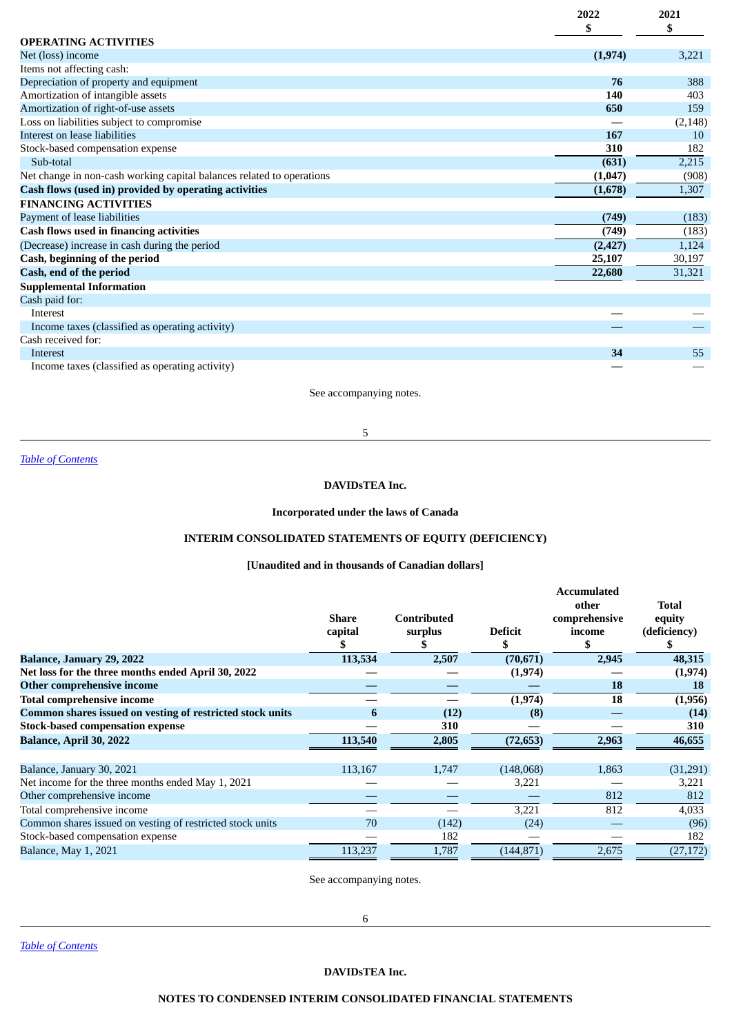|                                                                       | 2022<br>\$ | 2021<br>\$ |
|-----------------------------------------------------------------------|------------|------------|
| <b>OPERATING ACTIVITIES</b>                                           |            |            |
| Net (loss) income                                                     | (1,974)    | 3,221      |
| Items not affecting cash:                                             |            |            |
| Depreciation of property and equipment                                | 76         | 388        |
| Amortization of intangible assets                                     | 140        | 403        |
| Amortization of right-of-use assets                                   | 650        | 159        |
| Loss on liabilities subject to compromise                             |            | (2, 148)   |
| Interest on lease liabilities                                         | 167        | 10         |
| Stock-based compensation expense                                      | 310        | 182        |
| Sub-total                                                             | (631)      | 2,215      |
| Net change in non-cash working capital balances related to operations | (1,047)    | (908)      |
| Cash flows (used in) provided by operating activities                 | (1,678)    | 1,307      |
| <b>FINANCING ACTIVITIES</b>                                           |            |            |
| Payment of lease liabilities                                          | (749)      | (183)      |
| Cash flows used in financing activities                               | (749)      | (183)      |
| (Decrease) increase in cash during the period                         | (2, 427)   | 1,124      |
| Cash, beginning of the period                                         | 25,107     | 30,197     |
| Cash, end of the period                                               | 22,680     | 31,321     |
| <b>Supplemental Information</b>                                       |            |            |
| Cash paid for:                                                        |            |            |
| <b>Interest</b>                                                       |            |            |
| Income taxes (classified as operating activity)                       |            |            |
| Cash received for:                                                    |            |            |
| Interest                                                              | 34         | 55         |
| Income taxes (classified as operating activity)                       |            |            |
| See accompanying notes.                                               |            |            |

5

*Table of [Contents](#page-1-2)*

# **DAVIDsTEA Inc.**

# **Incorporated under the laws of Canada**

# **INTERIM CONSOLIDATED STATEMENTS OF EQUITY (DEFICIENCY)**

# **[Unaudited and in thousands of Canadian dollars]**

|                                                           | <b>Share</b><br>capital | Contributed<br>surplus | <b>Deficit</b> | <b>Accumulated</b><br>other<br>comprehensive<br>income<br>л | <b>Total</b><br>equity<br>(deficiency)<br>J. |
|-----------------------------------------------------------|-------------------------|------------------------|----------------|-------------------------------------------------------------|----------------------------------------------|
| <b>Balance, January 29, 2022</b>                          | 113,534                 | 2,507                  | (70, 671)      | 2,945                                                       | 48,315                                       |
| Net loss for the three months ended April 30, 2022        |                         |                        | (1, 974)       |                                                             | (1, 974)                                     |
| Other comprehensive income                                |                         |                        |                | 18                                                          | <b>18</b>                                    |
| <b>Total comprehensive income</b>                         |                         |                        | (1, 974)       | 18                                                          | (1,956)                                      |
| Common shares issued on vesting of restricted stock units | 6                       | (12)                   | (8)            |                                                             | (14)                                         |
| <b>Stock-based compensation expense</b>                   |                         | 310                    |                |                                                             | 310                                          |
| Balance, April 30, 2022                                   | 113,540                 | 2,805                  | (72, 653)      | 2,963                                                       | 46,655                                       |
|                                                           |                         |                        |                |                                                             |                                              |
| Balance, January 30, 2021                                 | 113,167                 | 1,747                  | (148,068)      | 1,863                                                       | (31,291)                                     |
| Net income for the three months ended May 1, 2021         |                         |                        | 3,221          |                                                             | 3,221                                        |
| Other comprehensive income                                |                         |                        |                | 812                                                         | 812                                          |
| Total comprehensive income                                |                         |                        | 3,221          | 812                                                         | 4,033                                        |
| Common shares issued on vesting of restricted stock units | 70                      | (142)                  | (24)           |                                                             | (96)                                         |
| Stock-based compensation expense                          |                         | 182                    |                |                                                             | 182                                          |
| <b>Balance, May 1, 2021</b>                               | 113,237                 | 1,787                  | (144, 871)     | 2,675                                                       | (27, 172)                                    |
|                                                           |                         |                        |                |                                                             |                                              |

See accompanying notes.

**DAVIDsTEA Inc.**

6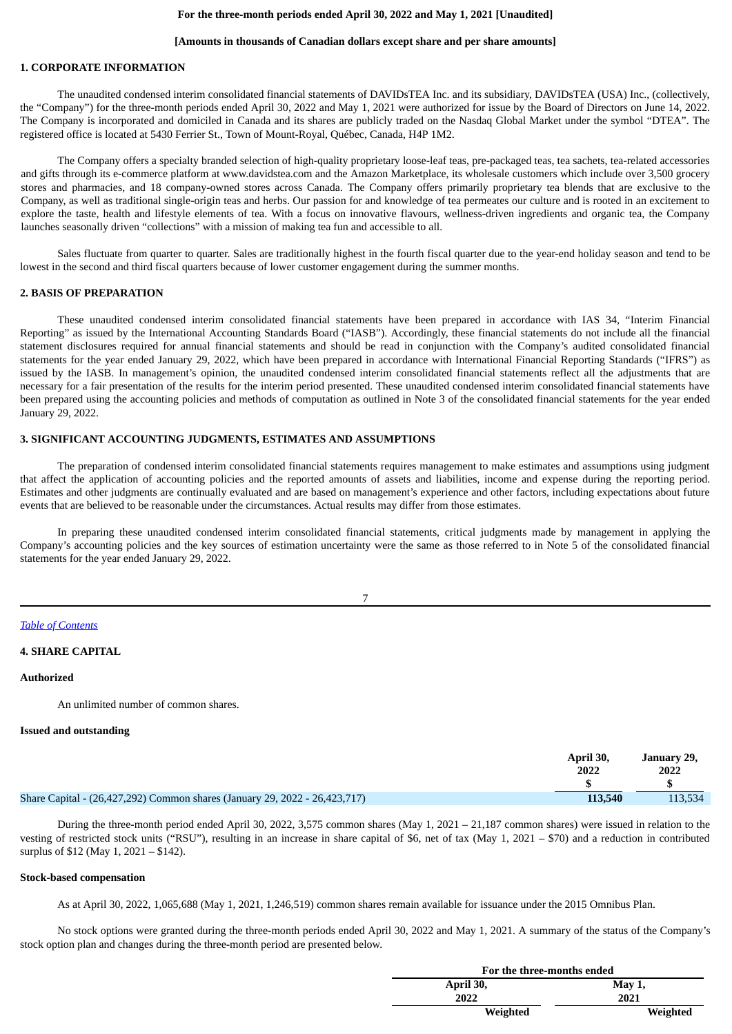# **For the three-month periods ended April 30, 2022 and May 1, 2021 [Unaudited]**

#### **[Amounts in thousands of Canadian dollars except share and per share amounts]**

#### **1. CORPORATE INFORMATION**

The unaudited condensed interim consolidated financial statements of DAVIDsTEA Inc. and its subsidiary, DAVIDsTEA (USA) Inc., (collectively, the "Company") for the three-month periods ended April 30, 2022 and May 1, 2021 were authorized for issue by the Board of Directors on June 14, 2022. The Company is incorporated and domiciled in Canada and its shares are publicly traded on the Nasdaq Global Market under the symbol "DTEA". The registered office is located at 5430 Ferrier St., Town of Mount-Royal, Québec, Canada, H4P 1M2.

The Company offers a specialty branded selection of high-quality proprietary loose-leaf teas, pre-packaged teas, tea sachets, tea-related accessories and gifts through its e-commerce platform at www.davidstea.com and the Amazon Marketplace, its wholesale customers which include over 3,500 grocery stores and pharmacies, and 18 company-owned stores across Canada. The Company offers primarily proprietary tea blends that are exclusive to the Company, as well as traditional single-origin teas and herbs. Our passion for and knowledge of tea permeates our culture and is rooted in an excitement to explore the taste, health and lifestyle elements of tea. With a focus on innovative flavours, wellness-driven ingredients and organic tea, the Company launches seasonally driven "collections" with a mission of making tea fun and accessible to all.

Sales fluctuate from quarter to quarter. Sales are traditionally highest in the fourth fiscal quarter due to the year-end holiday season and tend to be lowest in the second and third fiscal quarters because of lower customer engagement during the summer months.

# **2. BASIS OF PREPARATION**

These unaudited condensed interim consolidated financial statements have been prepared in accordance with IAS 34, "Interim Financial Reporting" as issued by the International Accounting Standards Board ("IASB"). Accordingly, these financial statements do not include all the financial statement disclosures required for annual financial statements and should be read in conjunction with the Company's audited consolidated financial statements for the year ended January 29, 2022, which have been prepared in accordance with International Financial Reporting Standards ("IFRS") as issued by the IASB. In management's opinion, the unaudited condensed interim consolidated financial statements reflect all the adjustments that are necessary for a fair presentation of the results for the interim period presented. These unaudited condensed interim consolidated financial statements have been prepared using the accounting policies and methods of computation as outlined in Note 3 of the consolidated financial statements for the year ended January 29, 2022.

# **3. SIGNIFICANT ACCOUNTING JUDGMENTS, ESTIMATES AND ASSUMPTIONS**

The preparation of condensed interim consolidated financial statements requires management to make estimates and assumptions using judgment that affect the application of accounting policies and the reported amounts of assets and liabilities, income and expense during the reporting period. Estimates and other judgments are continually evaluated and are based on management's experience and other factors, including expectations about future events that are believed to be reasonable under the circumstances. Actual results may differ from those estimates.

In preparing these unaudited condensed interim consolidated financial statements, critical judgments made by management in applying the Company's accounting policies and the key sources of estimation uncertainty were the same as those referred to in Note 5 of the consolidated financial statements for the year ended January 29, 2022.

7

# *Table of [Contents](#page-1-2)*

# **4. SHARE CAPITAL**

#### **Authorized**

An unlimited number of common shares.

# **Issued and outstanding**

|                                                                            | April 30. | January 29, |
|----------------------------------------------------------------------------|-----------|-------------|
|                                                                            | 2022      | 2022        |
|                                                                            |           |             |
| Share Capital - (26,427,292) Common shares (January 29, 2022 - 26,423,717) | 113,540   | 113,534     |

During the three-month period ended April 30, 2022, 3,575 common shares (May 1, 2021 – 21,187 common shares) were issued in relation to the vesting of restricted stock units ("RSU"), resulting in an increase in share capital of \$6, net of tax (May 1, 2021 – \$70) and a reduction in contributed surplus of \$12 (May 1, 2021 – \$142).

#### **Stock-based compensation**

As at April 30, 2022, 1,065,688 (May 1, 2021, 1,246,519) common shares remain available for issuance under the 2015 Omnibus Plan.

No stock options were granted during the three-month periods ended April 30, 2022 and May 1, 2021. A summary of the status of the Company's stock option plan and changes during the three-month period are presented below.

| For the three-months ended |          |  |
|----------------------------|----------|--|
| April 30,                  | May 1,   |  |
| 2022                       | 2021     |  |
| Weighted                   | Weighted |  |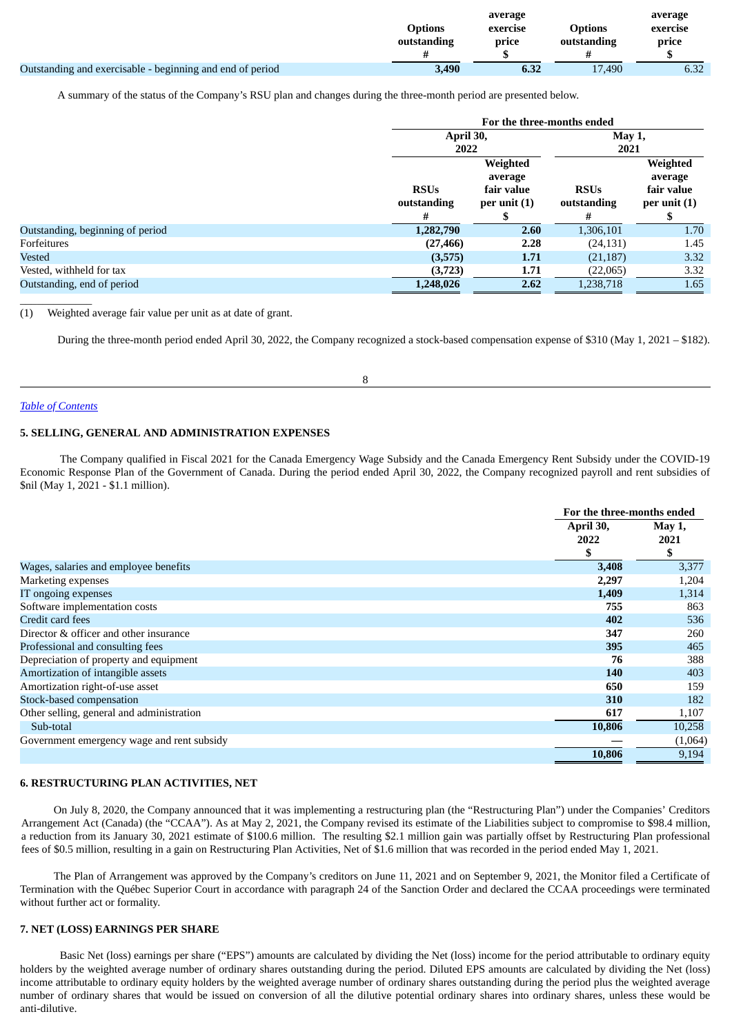|                                                           | Options<br>outstanding | average<br>exercise<br>price | <b>Options</b><br>outstanding | average<br>exercise<br>price |
|-----------------------------------------------------------|------------------------|------------------------------|-------------------------------|------------------------------|
| Outstanding and exercisable - beginning and end of period | 3,490                  | b.32                         | 17,490                        | 6.32                         |

A summary of the status of the Company's RSU plan and changes during the three-month period are presented below.

|                                  |                                 | For the three-months ended                            |                                 |                                                     |  |  |
|----------------------------------|---------------------------------|-------------------------------------------------------|---------------------------------|-----------------------------------------------------|--|--|
|                                  | April 30,                       |                                                       | May 1,                          |                                                     |  |  |
|                                  |                                 | 2022                                                  |                                 | 2021                                                |  |  |
|                                  | <b>RSUs</b><br>outstanding<br># | Weighted<br>average<br>fair value<br>$per$ unit $(1)$ | <b>RSUs</b><br>outstanding<br># | Weighted<br>average<br>fair value<br>per unit $(1)$ |  |  |
| Outstanding, beginning of period | 1,282,790                       | 2.60                                                  | 1,306,101                       | 1.70                                                |  |  |
| Forfeitures                      | (27, 466)                       | 2.28                                                  | (24, 131)                       | 1.45                                                |  |  |
| Vested                           | (3,575)                         | 1.71                                                  | (21, 187)                       | 3.32                                                |  |  |
| Vested, withheld for tax         | (3,723)                         | 1.71                                                  | (22,065)                        | 3.32                                                |  |  |
| Outstanding, end of period       | 1,248,026                       | 2.62                                                  | 1,238,718                       | 1.65                                                |  |  |

(1) Weighted average fair value per unit as at date of grant.

During the three-month period ended April 30, 2022, the Company recognized a stock-based compensation expense of \$310 (May 1, 2021 – \$182).

#### *Table of [Contents](#page-1-2)*

 $\overline{\phantom{a}}$  , where  $\overline{\phantom{a}}$ 

#### **5. SELLING, GENERAL AND ADMINISTRATION EXPENSES**

The Company qualified in Fiscal 2021 for the Canada Emergency Wage Subsidy and the Canada Emergency Rent Subsidy under the COVID-19 Economic Response Plan of the Government of Canada. During the period ended April 30, 2022, the Company recognized payroll and rent subsidies of \$nil (May 1, 2021 - \$1.1 million).

8

|                                            | For the three-months ended |                |
|--------------------------------------------|----------------------------|----------------|
|                                            | April 30,<br>2022          | May 1,<br>2021 |
|                                            |                            | \$             |
| Wages, salaries and employee benefits      | 3,408                      | 3,377          |
| Marketing expenses                         | 2,297                      | 1,204          |
| IT ongoing expenses                        | 1,409                      | 1,314          |
| Software implementation costs              | 755                        | 863            |
| Credit card fees                           | 402                        | 536            |
| Director & officer and other insurance     | 347                        | 260            |
| Professional and consulting fees           | 395                        | 465            |
| Depreciation of property and equipment     | 76                         | 388            |
| Amortization of intangible assets          | <b>140</b>                 | 403            |
| Amortization right-of-use asset            | 650                        | 159            |
| Stock-based compensation                   | 310                        | 182            |
| Other selling, general and administration  | 617                        | 1,107          |
| Sub-total                                  | 10,806                     | 10,258         |
| Government emergency wage and rent subsidy |                            | (1,064)        |
|                                            | 10,806                     | 9,194          |

# **6. RESTRUCTURING PLAN ACTIVITIES, NET**

On July 8, 2020, the Company announced that it was implementing a restructuring plan (the "Restructuring Plan") under the Companies' Creditors Arrangement Act (Canada) (the "CCAA"). As at May 2, 2021, the Company revised its estimate of the Liabilities subject to compromise to \$98.4 million, a reduction from its January 30, 2021 estimate of \$100.6 million. The resulting \$2.1 million gain was partially offset by Restructuring Plan professional fees of \$0.5 million, resulting in a gain on Restructuring Plan Activities, Net of \$1.6 million that was recorded in the period ended May 1, 2021.

The Plan of Arrangement was approved by the Company's creditors on June 11, 2021 and on September 9, 2021, the Monitor filed a Certificate of Termination with the Québec Superior Court in accordance with paragraph 24 of the Sanction Order and declared the CCAA proceedings were terminated without further act or formality.

#### **7. NET (LOSS) EARNINGS PER SHARE**

Basic Net (loss) earnings per share ("EPS") amounts are calculated by dividing the Net (loss) income for the period attributable to ordinary equity holders by the weighted average number of ordinary shares outstanding during the period. Diluted EPS amounts are calculated by dividing the Net (loss) income attributable to ordinary equity holders by the weighted average number of ordinary shares outstanding during the period plus the weighted average number of ordinary shares that would be issued on conversion of all the dilutive potential ordinary shares into ordinary shares, unless these would be anti‑dilutive.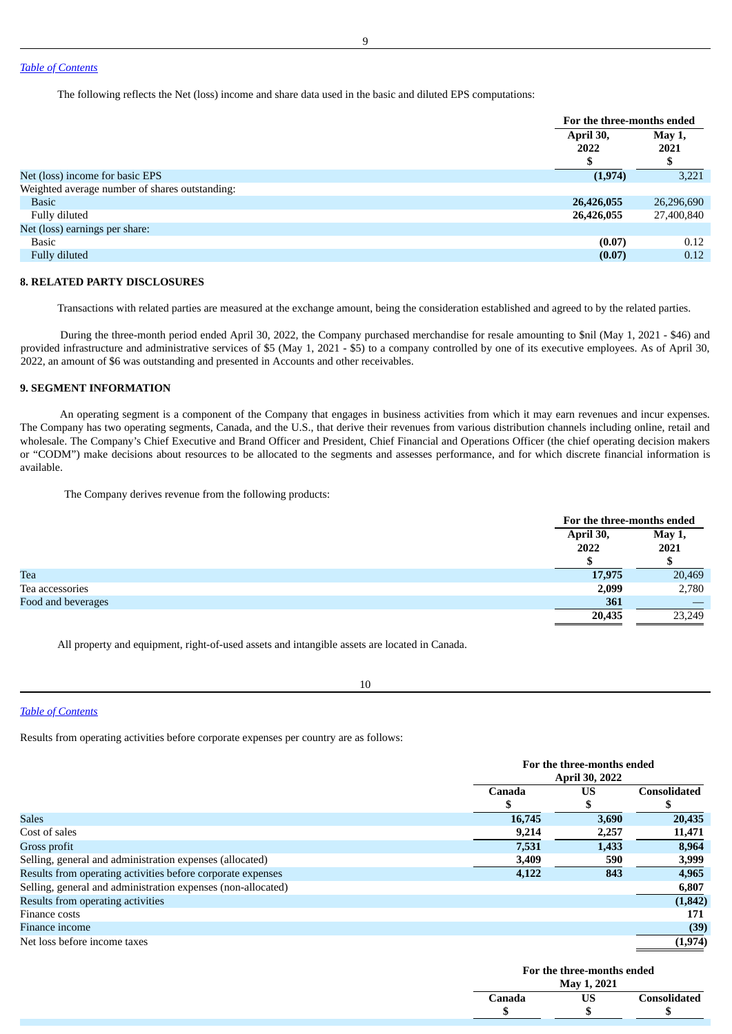#### *Table of [Contents](#page-1-2)*

The following reflects the Net (loss) income and share data used in the basic and diluted EPS computations:

|                                                | For the three-months ended |                      |
|------------------------------------------------|----------------------------|----------------------|
|                                                | April 30,<br>2022          | May 1,<br>2021<br>\$ |
| Net (loss) income for basic EPS                | (1,974)                    | 3,221                |
| Weighted average number of shares outstanding: |                            |                      |
| <b>Basic</b>                                   | 26,426,055                 | 26,296,690           |
| Fully diluted                                  | 26,426,055                 | 27,400,840           |
| Net (loss) earnings per share:                 |                            |                      |
| <b>Basic</b>                                   | (0.07)                     | 0.12                 |
| Fully diluted                                  | (0.07)                     | 0.12                 |
|                                                |                            |                      |

#### **8. RELATED PARTY DISCLOSURES**

Transactions with related parties are measured at the exchange amount, being the consideration established and agreed to by the related parties.

During the three-month period ended April 30, 2022, the Company purchased merchandise for resale amounting to \$nil (May 1, 2021 - \$46) and provided infrastructure and administrative services of \$5 (May 1, 2021 - \$5) to a company controlled by one of its executive employees. As of April 30, 2022, an amount of \$6 was outstanding and presented in Accounts and other receivables.

# **9. SEGMENT INFORMATION**

An operating segment is a component of the Company that engages in business activities from which it may earn revenues and incur expenses. The Company has two operating segments, Canada, and the U.S., that derive their revenues from various distribution channels including online, retail and wholesale. The Company's Chief Executive and Brand Officer and President, Chief Financial and Operations Officer (the chief operating decision makers or "CODM") make decisions about resources to be allocated to the segments and assesses performance, and for which discrete financial information is available.

The Company derives revenue from the following products:

|                    | For the three-months ended |                |  |
|--------------------|----------------------------|----------------|--|
|                    | April 30,<br>2022          | May 1,<br>2021 |  |
| Tea                | 17,975                     | 20,469         |  |
| Tea accessories    | 2,099                      | 2,780          |  |
| Food and beverages | 361                        |                |  |
|                    | 20,435                     | 23,249         |  |

10

All property and equipment, right-of-used assets and intangible assets are located in Canada.

# *Table of [Contents](#page-1-2)*

Results from operating activities before corporate expenses per country are as follows:

|                                                              |        | For the three-months ended<br><b>April 30, 2022</b> |                     |  |  |
|--------------------------------------------------------------|--------|-----------------------------------------------------|---------------------|--|--|
|                                                              |        |                                                     |                     |  |  |
|                                                              | Canada | US                                                  | <b>Consolidated</b> |  |  |
|                                                              |        |                                                     |                     |  |  |
| <b>Sales</b>                                                 | 16,745 | 3,690                                               | 20,435              |  |  |
| Cost of sales                                                | 9,214  | 2,257                                               | 11,471              |  |  |
| Gross profit                                                 | 7,531  | 1,433                                               | 8,964               |  |  |
| Selling, general and administration expenses (allocated)     | 3,409  | 590                                                 | 3,999               |  |  |
| Results from operating activities before corporate expenses  | 4,122  | 843                                                 | 4,965               |  |  |
| Selling, general and administration expenses (non-allocated) |        |                                                     | 6,807               |  |  |
| Results from operating activities                            |        |                                                     | (1, 842)            |  |  |
| Finance costs                                                |        |                                                     | 171                 |  |  |
| Finance income                                               |        |                                                     | (39)                |  |  |
| Net loss before income taxes                                 |        |                                                     | (1, 974)            |  |  |

| For the three-months ended |             |              |
|----------------------------|-------------|--------------|
|                            | May 1, 2021 |              |
| Canada                     | US          | Consolidated |
|                            | S           |              |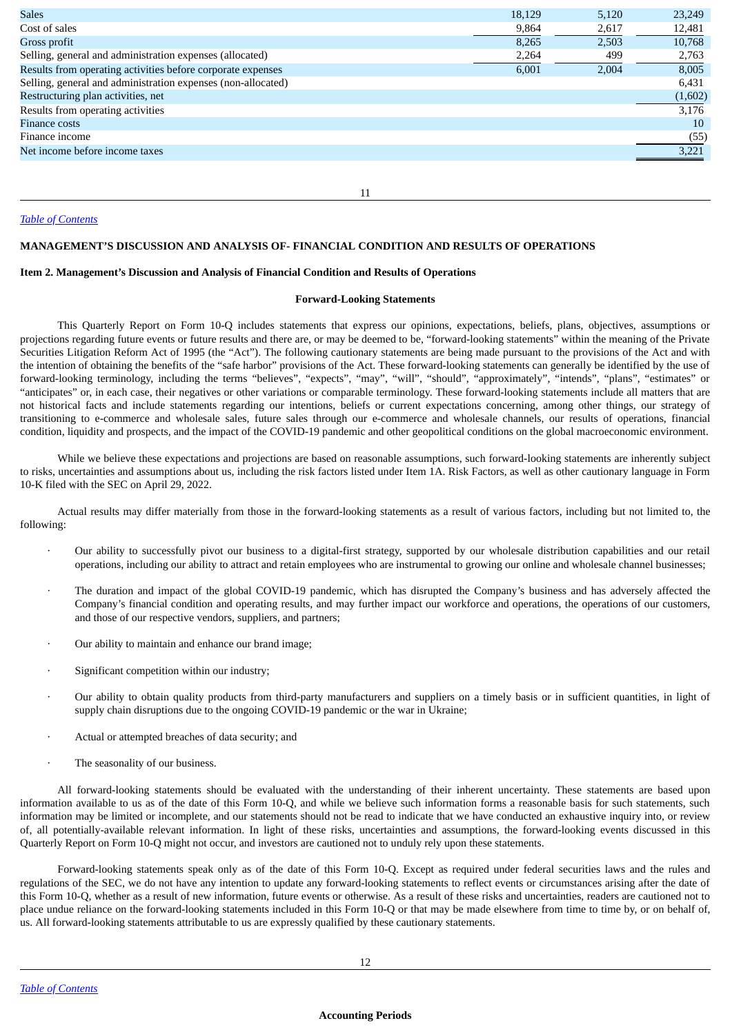| <b>Sales</b>                                                 | 18,129 | 5.120 | 23,249  |
|--------------------------------------------------------------|--------|-------|---------|
| Cost of sales                                                | 9,864  | 2,617 | 12,481  |
| Gross profit                                                 | 8,265  | 2,503 | 10,768  |
| Selling, general and administration expenses (allocated)     | 2,264  | 499   | 2,763   |
| Results from operating activities before corporate expenses  | 6,001  | 2.004 | 8,005   |
| Selling, general and administration expenses (non-allocated) |        |       | 6,431   |
| Restructuring plan activities, net                           |        |       | (1,602) |
| Results from operating activities                            |        |       | 3,176   |
| Finance costs                                                |        |       | 10      |
| Finance income                                               |        |       | (55)    |
| Net income before income taxes                               |        |       | 3.221   |
|                                                              |        |       |         |

11

# *Table of [Contents](#page-1-2)*

#### **MANAGEMENT'S DISCUSSION AND ANALYSIS OF- FINANCIAL CONDITION AND RESULTS OF OPERATIONS**

#### <span id="page-7-0"></span>**Item 2. Management's Discussion and Analysis of Financial Condition and Results of Operations**

#### **Forward-Looking Statements**

This Quarterly Report on Form 10-Q includes statements that express our opinions, expectations, beliefs, plans, objectives, assumptions or projections regarding future events or future results and there are, or may be deemed to be, "forward-looking statements" within the meaning of the Private Securities Litigation Reform Act of 1995 (the "Act"). The following cautionary statements are being made pursuant to the provisions of the Act and with the intention of obtaining the benefits of the "safe harbor" provisions of the Act. These forward-looking statements can generally be identified by the use of forward-looking terminology, including the terms "believes", "expects", "may", "will", "should", "approximately", "intends", "plans", "estimates" or "anticipates" or, in each case, their negatives or other variations or comparable terminology. These forward-looking statements include all matters that are not historical facts and include statements regarding our intentions, beliefs or current expectations concerning, among other things, our strategy of transitioning to e-commerce and wholesale sales, future sales through our e-commerce and wholesale channels, our results of operations, financial condition, liquidity and prospects, and the impact of the COVID-19 pandemic and other geopolitical conditions on the global macroeconomic environment.

While we believe these expectations and projections are based on reasonable assumptions, such forward-looking statements are inherently subject to risks, uncertainties and assumptions about us, including the risk factors listed under Item 1A. Risk Factors, as well as other cautionary language in Form 10-K filed with the SEC on April 29, 2022.

Actual results may differ materially from those in the forward-looking statements as a result of various factors, including but not limited to, the following:

- · Our ability to successfully pivot our business to a digital-first strategy, supported by our wholesale distribution capabilities and our retail operations, including our ability to attract and retain employees who are instrumental to growing our online and wholesale channel businesses;
- The duration and impact of the global COVID-19 pandemic, which has disrupted the Company's business and has adversely affected the Company's financial condition and operating results, and may further impact our workforce and operations, the operations of our customers, and those of our respective vendors, suppliers, and partners;
- Our ability to maintain and enhance our brand image;
- Significant competition within our industry:
- · Our ability to obtain quality products from third-party manufacturers and suppliers on a timely basis or in sufficient quantities, in light of supply chain disruptions due to the ongoing COVID-19 pandemic or the war in Ukraine;
- Actual or attempted breaches of data security; and
- The seasonality of our business.

All forward-looking statements should be evaluated with the understanding of their inherent uncertainty. These statements are based upon information available to us as of the date of this Form 10-Q, and while we believe such information forms a reasonable basis for such statements, such information may be limited or incomplete, and our statements should not be read to indicate that we have conducted an exhaustive inquiry into, or review of, all potentially-available relevant information. In light of these risks, uncertainties and assumptions, the forward-looking events discussed in this Quarterly Report on Form 10-Q might not occur, and investors are cautioned not to unduly rely upon these statements.

Forward-looking statements speak only as of the date of this Form 10-Q. Except as required under federal securities laws and the rules and regulations of the SEC, we do not have any intention to update any forward-looking statements to reflect events or circumstances arising after the date of this Form 10-Q, whether as a result of new information, future events or otherwise. As a result of these risks and uncertainties, readers are cautioned not to place undue reliance on the forward-looking statements included in this Form 10-Q or that may be made elsewhere from time to time by, or on behalf of, us. All forward-looking statements attributable to us are expressly qualified by these cautionary statements.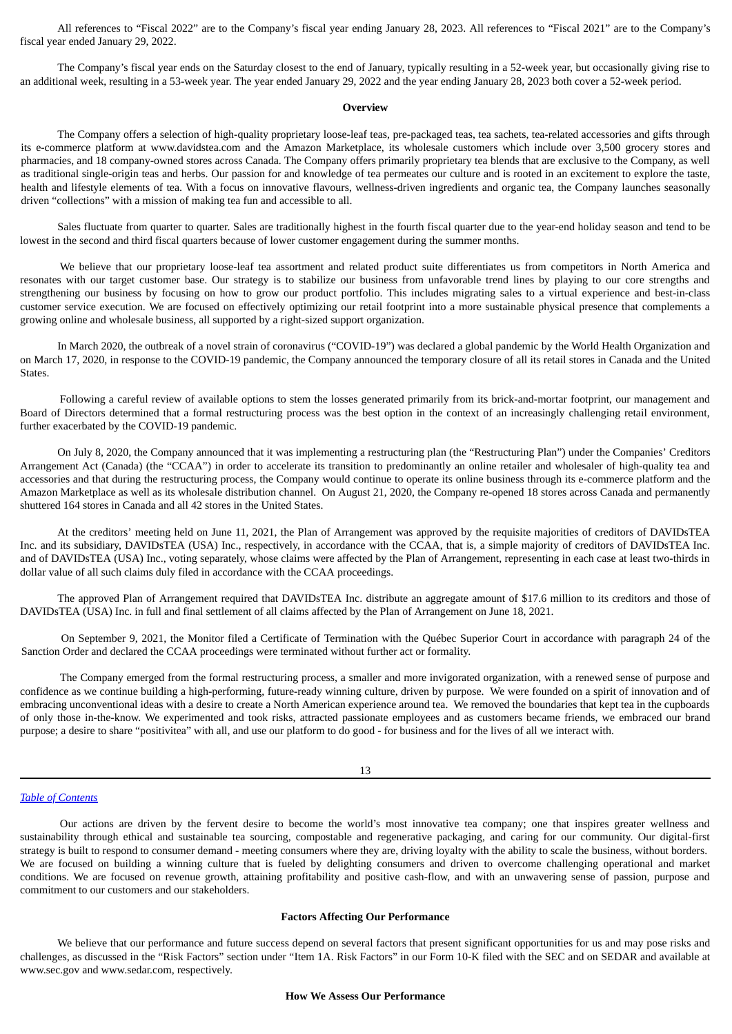All references to "Fiscal 2022" are to the Company's fiscal year ending January 28, 2023. All references to "Fiscal 2021" are to the Company's fiscal year ended January 29, 2022.

The Company's fiscal year ends on the Saturday closest to the end of January, typically resulting in a 52-week year, but occasionally giving rise to an additional week, resulting in a 53-week year. The year ended January 29, 2022 and the year ending January 28, 2023 both cover a 52-week period.

#### **Overview**

The Company offers a selection of high-quality proprietary loose-leaf teas, pre-packaged teas, tea sachets, tea-related accessories and gifts through its e-commerce platform at www.davidstea.com and the Amazon Marketplace, its wholesale customers which include over 3,500 grocery stores and pharmacies, and 18 company-owned stores across Canada. The Company offers primarily proprietary tea blends that are exclusive to the Company, as well as traditional single-origin teas and herbs. Our passion for and knowledge of tea permeates our culture and is rooted in an excitement to explore the taste, health and lifestyle elements of tea. With a focus on innovative flavours, wellness-driven ingredients and organic tea, the Company launches seasonally driven "collections" with a mission of making tea fun and accessible to all.

Sales fluctuate from quarter to quarter. Sales are traditionally highest in the fourth fiscal quarter due to the year-end holiday season and tend to be lowest in the second and third fiscal quarters because of lower customer engagement during the summer months.

We believe that our proprietary loose-leaf tea assortment and related product suite differentiates us from competitors in North America and resonates with our target customer base. Our strategy is to stabilize our business from unfavorable trend lines by playing to our core strengths and strengthening our business by focusing on how to grow our product portfolio. This includes migrating sales to a virtual experience and best-in-class customer service execution. We are focused on effectively optimizing our retail footprint into a more sustainable physical presence that complements a growing online and wholesale business, all supported by a right-sized support organization.

In March 2020, the outbreak of a novel strain of coronavirus ("COVID-19") was declared a global pandemic by the World Health Organization and on March 17, 2020, in response to the COVID-19 pandemic, the Company announced the temporary closure of all its retail stores in Canada and the United States.

Following a careful review of available options to stem the losses generated primarily from its brick-and-mortar footprint, our management and Board of Directors determined that a formal restructuring process was the best option in the context of an increasingly challenging retail environment, further exacerbated by the COVID-19 pandemic.

On July 8, 2020, the Company announced that it was implementing a restructuring plan (the "Restructuring Plan") under the Companies' Creditors Arrangement Act (Canada) (the "CCAA") in order to accelerate its transition to predominantly an online retailer and wholesaler of high-quality tea and accessories and that during the restructuring process, the Company would continue to operate its online business through its e-commerce platform and the Amazon Marketplace as well as its wholesale distribution channel. On August 21, 2020, the Company re-opened 18 stores across Canada and permanently shuttered 164 stores in Canada and all 42 stores in the United States.

At the creditors' meeting held on June 11, 2021, the Plan of Arrangement was approved by the requisite majorities of creditors of DAVIDsTEA Inc. and its subsidiary, DAVIDsTEA (USA) Inc., respectively, in accordance with the CCAA, that is, a simple majority of creditors of DAVIDsTEA Inc. and of DAVIDsTEA (USA) Inc., voting separately, whose claims were affected by the Plan of Arrangement, representing in each case at least two-thirds in dollar value of all such claims duly filed in accordance with the CCAA proceedings.

The approved Plan of Arrangement required that DAVIDsTEA Inc. distribute an aggregate amount of \$17.6 million to its creditors and those of DAVIDsTEA (USA) Inc. in full and final settlement of all claims affected by the Plan of Arrangement on June 18, 2021.

On September 9, 2021, the Monitor filed a Certificate of Termination with the Québec Superior Court in accordance with paragraph 24 of the Sanction Order and declared the CCAA proceedings were terminated without further act or formality.

The Company emerged from the formal restructuring process, a smaller and more invigorated organization, with a renewed sense of purpose and confidence as we continue building a high-performing, future-ready winning culture, driven by purpose. We were founded on a spirit of innovation and of embracing unconventional ideas with a desire to create a North American experience around tea. We removed the boundaries that kept tea in the cupboards of only those in-the-know. We experimented and took risks, attracted passionate employees and as customers became friends, we embraced our brand purpose; a desire to share "positivitea" with all, and use our platform to do good - for business and for the lives of all we interact with.

### *Table of [Contents](#page-1-2)*

Our actions are driven by the fervent desire to become the world's most innovative tea company; one that inspires greater wellness and sustainability through ethical and sustainable tea sourcing, compostable and regenerative packaging, and caring for our community. Our digital-first strategy is built to respond to consumer demand - meeting consumers where they are, driving loyalty with the ability to scale the business, without borders. We are focused on building a winning culture that is fueled by delighting consumers and driven to overcome challenging operational and market conditions. We are focused on revenue growth, attaining profitability and positive cash-flow, and with an unwavering sense of passion, purpose and commitment to our customers and our stakeholders.

#### **Factors Affecting Our Performance**

We believe that our performance and future success depend on several factors that present significant opportunities for us and may pose risks and challenges, as discussed in the "Risk Factors" section under "Item 1A. Risk Factors" in our Form 10-K filed with the SEC and on SEDAR and available at www.sec.gov and www.sedar.com, respectively.

#### **How We Assess Our Performance**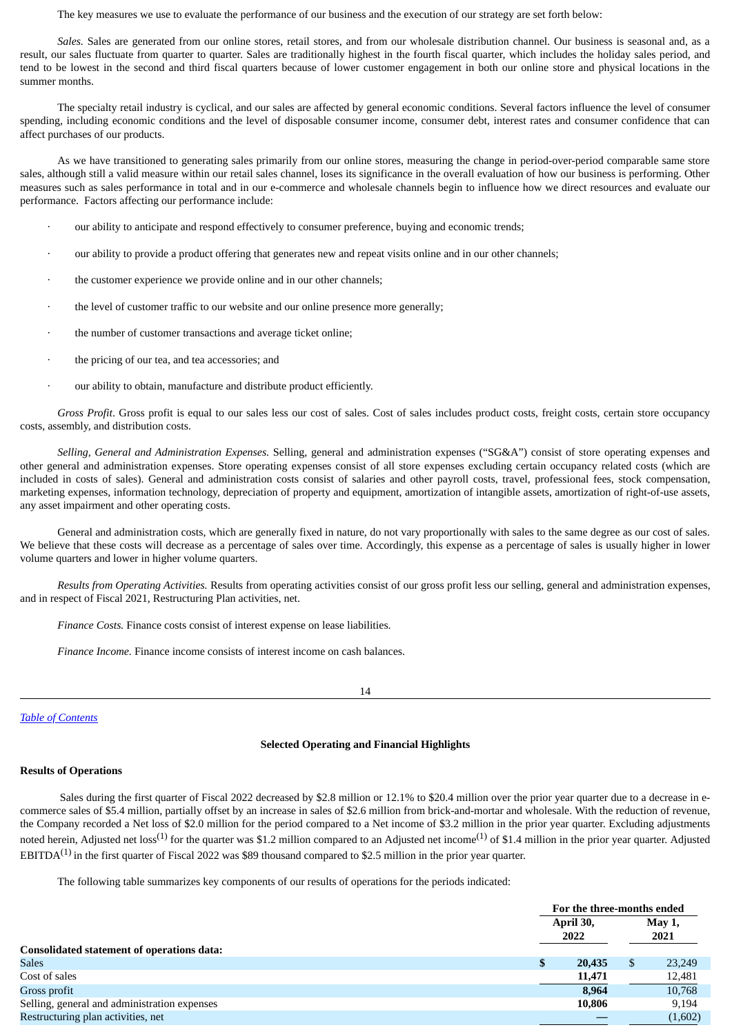The key measures we use to evaluate the performance of our business and the execution of our strategy are set forth below:

*Sales.* Sales are generated from our online stores, retail stores, and from our wholesale distribution channel. Our business is seasonal and, as a result, our sales fluctuate from quarter to quarter. Sales are traditionally highest in the fourth fiscal quarter, which includes the holiday sales period, and tend to be lowest in the second and third fiscal quarters because of lower customer engagement in both our online store and physical locations in the summer months.

The specialty retail industry is cyclical, and our sales are affected by general economic conditions. Several factors influence the level of consumer spending, including economic conditions and the level of disposable consumer income, consumer debt, interest rates and consumer confidence that can affect purchases of our products.

As we have transitioned to generating sales primarily from our online stores, measuring the change in period-over-period comparable same store sales, although still a valid measure within our retail sales channel, loses its significance in the overall evaluation of how our business is performing. Other measures such as sales performance in total and in our e-commerce and wholesale channels begin to influence how we direct resources and evaluate our performance. Factors affecting our performance include:

- our ability to anticipate and respond effectively to consumer preference, buying and economic trends;
- our ability to provide a product offering that generates new and repeat visits online and in our other channels;
- · the customer experience we provide online and in our other channels;
- · the level of customer traffic to our website and our online presence more generally;
- the number of customer transactions and average ticket online;
- the pricing of our tea, and tea accessories; and
- · our ability to obtain, manufacture and distribute product efficiently.

*Gross Profit*. Gross profit is equal to our sales less our cost of sales. Cost of sales includes product costs, freight costs, certain store occupancy costs, assembly, and distribution costs.

*Selling, General and Administration Expenses.* Selling, general and administration expenses ("SG&A") consist of store operating expenses and other general and administration expenses. Store operating expenses consist of all store expenses excluding certain occupancy related costs (which are included in costs of sales). General and administration costs consist of salaries and other payroll costs, travel, professional fees, stock compensation, marketing expenses, information technology, depreciation of property and equipment, amortization of intangible assets, amortization of right-of-use assets, any asset impairment and other operating costs.

General and administration costs, which are generally fixed in nature, do not vary proportionally with sales to the same degree as our cost of sales. We believe that these costs will decrease as a percentage of sales over time. Accordingly, this expense as a percentage of sales is usually higher in lower volume quarters and lower in higher volume quarters.

*Results from Operating Activities.* Results from operating activities consist of our gross profit less our selling, general and administration expenses, and in respect of Fiscal 2021, Restructuring Plan activities, net.

*Finance Costs.* Finance costs consist of interest expense on lease liabilities.

*Finance Income.* Finance income consists of interest income on cash balances.

*Table of [Contents](#page-1-2)*

14

#### **Selected Operating and Financial Highlights**

#### **Results of Operations**

Sales during the first quarter of Fiscal 2022 decreased by \$2.8 million or 12.1% to \$20.4 million over the prior year quarter due to a decrease in ecommerce sales of \$5.4 million, partially offset by an increase in sales of \$2.6 million from brick-and-mortar and wholesale. With the reduction of revenue, the Company recorded a Net loss of \$2.0 million for the period compared to a Net income of \$3.2 million in the prior year quarter. Excluding adjustments noted herein, Adjusted net loss<sup>(1)</sup> for the quarter was \$1.2 million compared to an Adjusted net income<sup>(1)</sup> of \$1.4 million in the prior year quarter. Adjusted EBITDA<sup>(1)</sup> in the first quarter of Fiscal 2022 was \$89 thousand compared to \$2.5 million in the prior year quarter.

The following table summarizes key components of our results of operations for the periods indicated:

|                                              |                   | For the three-months ended |                |         |
|----------------------------------------------|-------------------|----------------------------|----------------|---------|
|                                              | April 30,<br>2022 |                            | May 1,<br>2021 |         |
| Consolidated statement of operations data:   |                   |                            |                |         |
| <b>Sales</b>                                 | \$                | 20,435                     | S              | 23,249  |
| Cost of sales                                |                   | 11,471                     |                | 12,481  |
| Gross profit                                 |                   | 8.964                      |                | 10,768  |
| Selling, general and administration expenses |                   | 10,806                     |                | 9,194   |
| Restructuring plan activities, net           |                   |                            |                | (1,602) |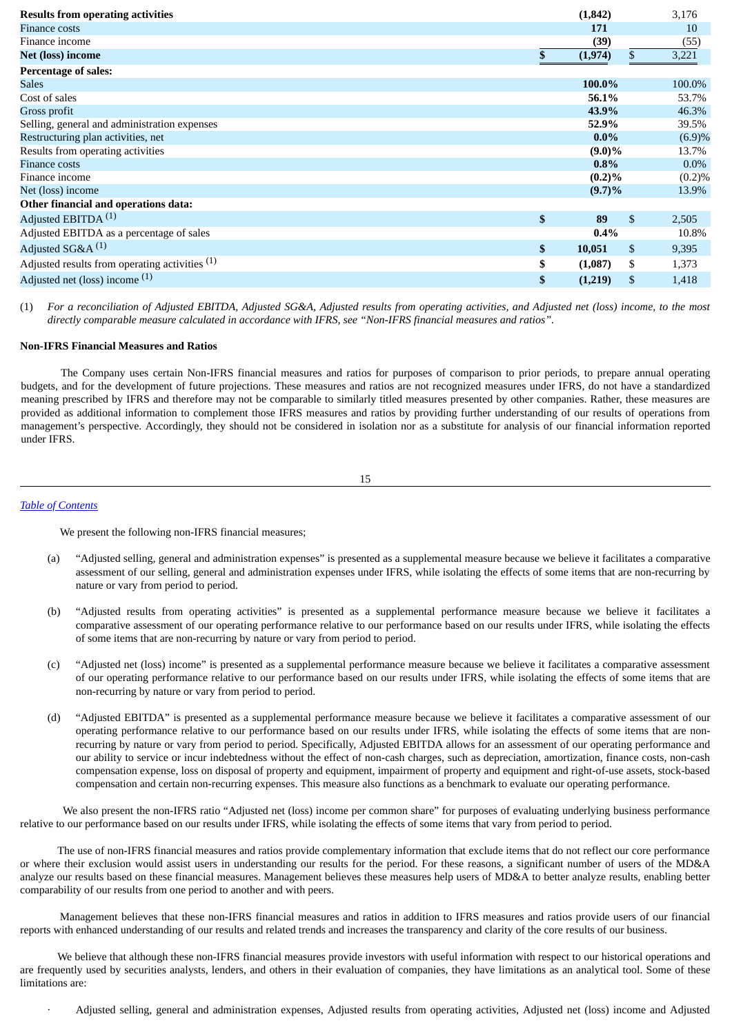| <b>Results from operating activities</b>         |              | (1, 842)  | 3,176       |
|--------------------------------------------------|--------------|-----------|-------------|
| <b>Finance costs</b>                             |              | 171       | 10          |
| Finance income                                   |              | (39)      | (55)        |
| <b>Net (loss) income</b>                         | S            | (1, 974)  | \$<br>3,221 |
| <b>Percentage of sales:</b>                      |              |           |             |
| <b>Sales</b>                                     |              | 100.0%    | 100.0%      |
| Cost of sales                                    |              | 56.1%     | 53.7%       |
| Gross profit                                     |              | 43.9%     | 46.3%       |
| Selling, general and administration expenses     |              | 52.9%     | 39.5%       |
| Restructuring plan activities, net               |              | $0.0\%$   | (6.9)%      |
| Results from operating activities                |              | $(9.0)\%$ | 13.7%       |
| Finance costs                                    |              | $0.8\%$   | $0.0\%$     |
| Finance income                                   |              | $(0.2)\%$ | (0.2)%      |
| Net (loss) income                                |              | $(9.7)\%$ | 13.9%       |
| Other financial and operations data:             |              |           |             |
| Adjusted EBITDA <sup>(1)</sup>                   | \$           | 89        | \$<br>2,505 |
| Adjusted EBITDA as a percentage of sales         |              | $0.4\%$   | 10.8%       |
| Adjusted SG&A <sup>(1)</sup>                     | $\mathbf{s}$ | 10,051    | \$<br>9,395 |
| Adjusted results from operating activities $(1)$ | \$           | (1,087)   | \$<br>1,373 |
| Adjusted net (loss) income <sup>(1)</sup>        | \$           | (1,219)   | \$<br>1,418 |

(1) For a reconciliation of Adjusted EBITDA, Adjusted SG&A, Adjusted results from operating activities, and Adjusted net (loss) income, to the most *directly comparable measure calculated in accordance with IFRS, see "Non-IFRS financial measures and ratios".*

#### **Non-IFRS Financial Measures and Ratios**

The Company uses certain Non-IFRS financial measures and ratios for purposes of comparison to prior periods, to prepare annual operating budgets, and for the development of future projections. These measures and ratios are not recognized measures under IFRS, do not have a standardized meaning prescribed by IFRS and therefore may not be comparable to similarly titled measures presented by other companies. Rather, these measures are provided as additional information to complement those IFRS measures and ratios by providing further understanding of our results of operations from management's perspective. Accordingly, they should not be considered in isolation nor as a substitute for analysis of our financial information reported under IFRS.

|   | -           |
|---|-------------|
| ш | - 1         |
|   | I<br>×<br>٠ |

#### *Table of [Contents](#page-1-2)*

We present the following non-IFRS financial measures;

- (a) "Adjusted selling, general and administration expenses" is presented as a supplemental measure because we believe it facilitates a comparative assessment of our selling, general and administration expenses under IFRS, while isolating the effects of some items that are non-recurring by nature or vary from period to period.
- (b) "Adjusted results from operating activities" is presented as a supplemental performance measure because we believe it facilitates a comparative assessment of our operating performance relative to our performance based on our results under IFRS, while isolating the effects of some items that are non-recurring by nature or vary from period to period.
- (c) "Adjusted net (loss) income" is presented as a supplemental performance measure because we believe it facilitates a comparative assessment of our operating performance relative to our performance based on our results under IFRS, while isolating the effects of some items that are non-recurring by nature or vary from period to period.
- (d) "Adjusted EBITDA" is presented as a supplemental performance measure because we believe it facilitates a comparative assessment of our operating performance relative to our performance based on our results under IFRS, while isolating the effects of some items that are nonrecurring by nature or vary from period to period. Specifically, Adjusted EBITDA allows for an assessment of our operating performance and our ability to service or incur indebtedness without the effect of non-cash charges, such as depreciation, amortization, finance costs, non-cash compensation expense, loss on disposal of property and equipment, impairment of property and equipment and right-of-use assets, stock-based compensation and certain non-recurring expenses. This measure also functions as a benchmark to evaluate our operating performance.

We also present the non-IFRS ratio "Adjusted net (loss) income per common share" for purposes of evaluating underlying business performance relative to our performance based on our results under IFRS, while isolating the effects of some items that vary from period to period.

The use of non-IFRS financial measures and ratios provide complementary information that exclude items that do not reflect our core performance or where their exclusion would assist users in understanding our results for the period. For these reasons, a significant number of users of the MD&A analyze our results based on these financial measures. Management believes these measures help users of MD&A to better analyze results, enabling better comparability of our results from one period to another and with peers.

Management believes that these non-IFRS financial measures and ratios in addition to IFRS measures and ratios provide users of our financial reports with enhanced understanding of our results and related trends and increases the transparency and clarity of the core results of our business.

We believe that although these non-IFRS financial measures provide investors with useful information with respect to our historical operations and are frequently used by securities analysts, lenders, and others in their evaluation of companies, they have limitations as an analytical tool. Some of these limitations are:

· Adjusted selling, general and administration expenses, Adjusted results from operating activities, Adjusted net (loss) income and Adjusted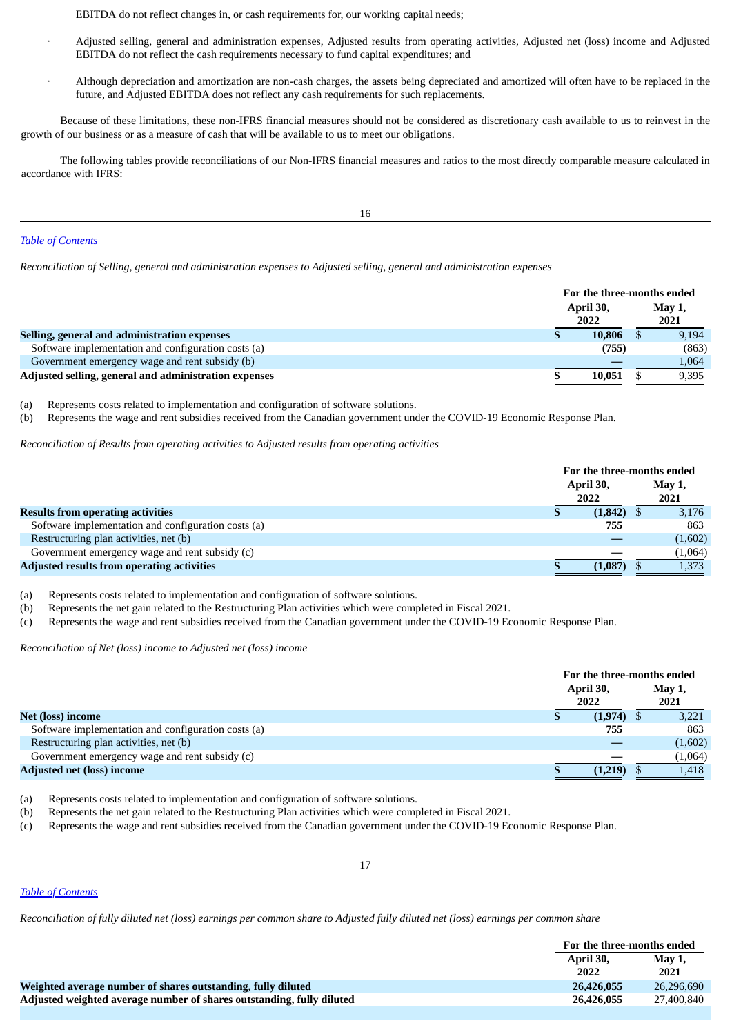EBITDA do not reflect changes in, or cash requirements for, our working capital needs;

- · Adjusted selling, general and administration expenses, Adjusted results from operating activities, Adjusted net (loss) income and Adjusted EBITDA do not reflect the cash requirements necessary to fund capital expenditures; and
- · Although depreciation and amortization are non-cash charges, the assets being depreciated and amortized will often have to be replaced in the future, and Adjusted EBITDA does not reflect any cash requirements for such replacements.

Because of these limitations, these non-IFRS financial measures should not be considered as discretionary cash available to us to reinvest in the growth of our business or as a measure of cash that will be available to us to meet our obligations.

The following tables provide reconciliations of our Non-IFRS financial measures and ratios to the most directly comparable measure calculated in accordance with IFRS:

#### 16

#### *Table of [Contents](#page-1-2)*

*Reconciliation of Selling, general and administration expenses to Adjusted selling, general and administration expenses*

|                                                       | For the three-months ended |                   |  |                   |
|-------------------------------------------------------|----------------------------|-------------------|--|-------------------|
|                                                       |                            | April 30,<br>2022 |  | $M$ ay 1,<br>2021 |
| Selling, general and administration expenses          |                            | 10,806            |  | 9.194             |
| Software implementation and configuration costs (a)   |                            | (755)             |  | (863)             |
| Government emergency wage and rent subsidy (b)        |                            |                   |  | 1,064             |
| Adjusted selling, general and administration expenses |                            | 10.051            |  | 9,395             |

(a) Represents costs related to implementation and configuration of software solutions.

(b) Represents the wage and rent subsidies received from the Canadian government under the COVID-19 Economic Response Plan.

*Reconciliation of Results from operating activities to Adjusted results from operating activities*

|                                                     | For the three-months ended |         |  |
|-----------------------------------------------------|----------------------------|---------|--|
|                                                     | April 30,                  | May 1,  |  |
|                                                     | 2022                       | 2021    |  |
| <b>Results from operating activities</b>            | (1,842)                    | 3,176   |  |
| Software implementation and configuration costs (a) | 755                        | 863     |  |
| Restructuring plan activities, net (b)              |                            | (1,602) |  |
| Government emergency wage and rent subsidy (c)      |                            | (1,064) |  |
| <b>Adjusted results from operating activities</b>   | (1,087)                    | 1,373   |  |

(a) Represents costs related to implementation and configuration of software solutions.

(b) Represents the net gain related to the Restructuring Plan activities which were completed in Fiscal 2021.

(c) Represents the wage and rent subsidies received from the Canadian government under the COVID-19 Economic Response Plan.

*Reconciliation of Net (loss) income to Adjusted net (loss) income*

|                                                     | For the three-months ended |                |  |
|-----------------------------------------------------|----------------------------|----------------|--|
|                                                     | April 30,<br>2022          | May 1,<br>2021 |  |
| <b>Net (loss) income</b>                            | (1,974)                    | 3,221          |  |
| Software implementation and configuration costs (a) | 755                        | 863            |  |
| Restructuring plan activities, net (b)              |                            | (1,602)        |  |
| Government emergency wage and rent subsidy (c)      |                            | (1,064)        |  |
| <b>Adjusted net (loss) income</b>                   | (1,219)                    | 1.418          |  |

(a) Represents costs related to implementation and configuration of software solutions.

(b) Represents the net gain related to the Restructuring Plan activities which were completed in Fiscal 2021.

(c) Represents the wage and rent subsidies received from the Canadian government under the COVID-19 Economic Response Plan.

*Table of [Contents](#page-1-2)*

Reconciliation of fully diluted net (loss) earnings per common share to Adjusted fully diluted net (loss) earnings per common share

|                                                                       |            | For the three-months ended |  |  |
|-----------------------------------------------------------------------|------------|----------------------------|--|--|
|                                                                       | April 30.  | May 1,                     |  |  |
|                                                                       | 2022       | 2021                       |  |  |
| Weighted average number of shares outstanding, fully diluted          | 26,426,055 | 26,296,690                 |  |  |
| Adjusted weighted average number of shares outstanding, fully diluted | 26,426,055 | 27,400,840                 |  |  |

17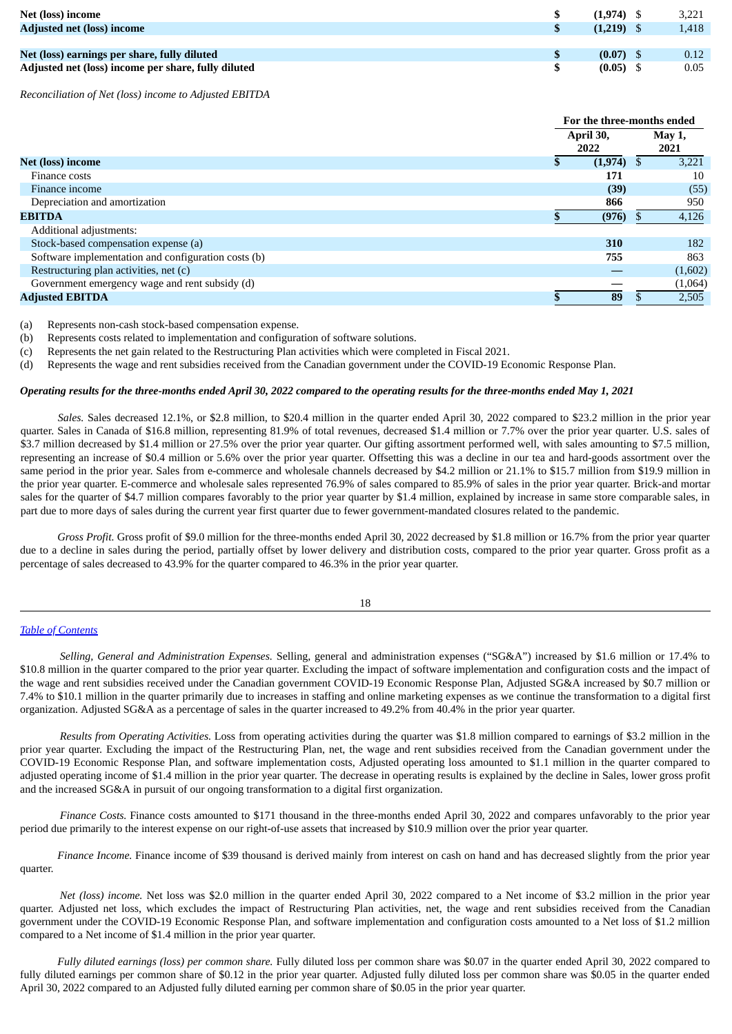| Net (loss) income<br><b>Adjusted net (loss) income</b> | (1.974)<br>(1.219) | 3,221<br>1.418 |
|--------------------------------------------------------|--------------------|----------------|
| Net (loss) earnings per share, fully diluted           | \$<br>(0.07)       | 0.12           |
| Adjusted net (loss) income per share, fully diluted    | (0.05)             | 0.05           |

*Reconciliation of Net (loss) income to Adjusted EBITDA*

|                                                     | For the three-months ended |            |         |
|-----------------------------------------------------|----------------------------|------------|---------|
|                                                     |                            | April 30,  | May 1,  |
|                                                     |                            | 2022       | 2021    |
| <b>Net (loss) income</b>                            | æ                          | (1,974)    | 3,221   |
| Finance costs                                       |                            | 171        | 10      |
| Finance income                                      |                            | (39)       | (55)    |
| Depreciation and amortization                       |                            | 866        | 950     |
| <b>EBITDA</b>                                       |                            | (976)      | 4,126   |
| Additional adjustments:                             |                            |            |         |
| Stock-based compensation expense (a)                |                            | <b>310</b> | 182     |
| Software implementation and configuration costs (b) |                            | 755        | 863     |
| Restructuring plan activities, net (c)              |                            |            | (1,602) |
| Government emergency wage and rent subsidy (d)      |                            |            | (1,064) |
| <b>Adjusted EBITDA</b>                              |                            | 89         | 2,505   |

(a) Represents non-cash stock-based compensation expense.

(b) Represents costs related to implementation and configuration of software solutions.

(c) Represents the net gain related to the Restructuring Plan activities which were completed in Fiscal 2021.

(d) Represents the wage and rent subsidies received from the Canadian government under the COVID-19 Economic Response Plan.

#### Operating results for the three-months ended April 30, 2022 compared to the operating results for the three-months ended May 1, 2021

*Sales.* Sales decreased 12.1%, or \$2.8 million, to \$20.4 million in the quarter ended April 30, 2022 compared to \$23.2 million in the prior year quarter. Sales in Canada of \$16.8 million, representing 81.9% of total revenues, decreased \$1.4 million or 7.7% over the prior year quarter. U.S. sales of \$3.7 million decreased by \$1.4 million or 27.5% over the prior year quarter. Our gifting assortment performed well, with sales amounting to \$7.5 million, representing an increase of \$0.4 million or 5.6% over the prior year quarter. Offsetting this was a decline in our tea and hard-goods assortment over the same period in the prior year. Sales from e-commerce and wholesale channels decreased by \$4.2 million or 21.1% to \$15.7 million from \$19.9 million in the prior year quarter. E-commerce and wholesale sales represented 76.9% of sales compared to 85.9% of sales in the prior year quarter. Brick-and mortar sales for the quarter of \$4.7 million compares favorably to the prior year quarter by \$1.4 million, explained by increase in same store comparable sales, in part due to more days of sales during the current year first quarter due to fewer government-mandated closures related to the pandemic.

*Gross Profit.* Gross profit of \$9.0 million for the three-months ended April 30, 2022 decreased by \$1.8 million or 16.7% from the prior year quarter due to a decline in sales during the period, partially offset by lower delivery and distribution costs, compared to the prior year quarter. Gross profit as a percentage of sales decreased to 43.9% for the quarter compared to 46.3% in the prior year quarter.

18

#### *Table of [Contents](#page-1-2)*

*Selling, General and Administration Expenses.* Selling, general and administration expenses ("SG&A") increased by \$1.6 million or 17.4% to \$10.8 million in the quarter compared to the prior year quarter. Excluding the impact of software implementation and configuration costs and the impact of the wage and rent subsidies received under the Canadian government COVID-19 Economic Response Plan, Adjusted SG&A increased by \$0.7 million or 7.4% to \$10.1 million in the quarter primarily due to increases in staffing and online marketing expenses as we continue the transformation to a digital first organization. Adjusted SG&A as a percentage of sales in the quarter increased to 49.2% from 40.4% in the prior year quarter.

*Results from Operating Activities.* Loss from operating activities during the quarter was \$1.8 million compared to earnings of \$3.2 million in the prior year quarter. Excluding the impact of the Restructuring Plan, net, the wage and rent subsidies received from the Canadian government under the COVID-19 Economic Response Plan, and software implementation costs, Adjusted operating loss amounted to \$1.1 million in the quarter compared to adjusted operating income of \$1.4 million in the prior year quarter. The decrease in operating results is explained by the decline in Sales, lower gross profit and the increased SG&A in pursuit of our ongoing transformation to a digital first organization.

*Finance Costs.* Finance costs amounted to \$171 thousand in the three-months ended April 30, 2022 and compares unfavorably to the prior year period due primarily to the interest expense on our right-of-use assets that increased by \$10.9 million over the prior year quarter.

*Finance Income.* Finance income of \$39 thousand is derived mainly from interest on cash on hand and has decreased slightly from the prior year quarter.

*Net (loss) income.* Net loss was \$2.0 million in the quarter ended April 30, 2022 compared to a Net income of \$3.2 million in the prior year quarter. Adjusted net loss, which excludes the impact of Restructuring Plan activities, net, the wage and rent subsidies received from the Canadian government under the COVID-19 Economic Response Plan, and software implementation and configuration costs amounted to a Net loss of \$1.2 million compared to a Net income of \$1.4 million in the prior year quarter.

*Fully diluted earnings (loss) per common share.* Fully diluted loss per common share was \$0.07 in the quarter ended April 30, 2022 compared to fully diluted earnings per common share of \$0.12 in the prior year quarter. Adjusted fully diluted loss per common share was \$0.05 in the quarter ended April 30, 2022 compared to an Adjusted fully diluted earning per common share of \$0.05 in the prior year quarter.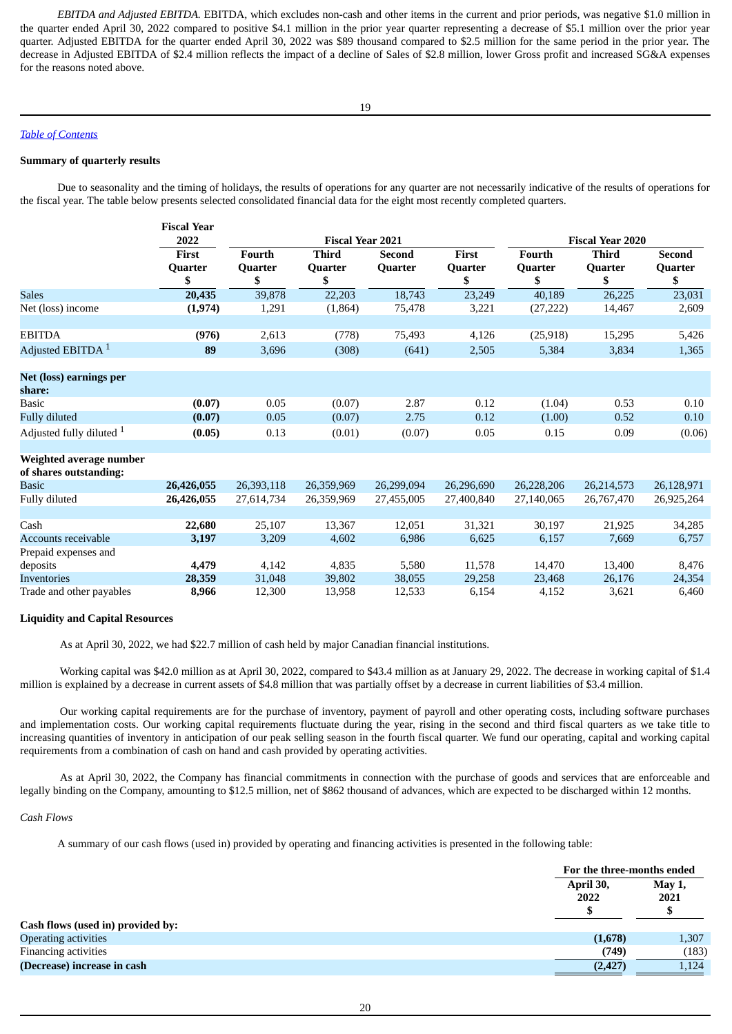*EBITDA and Adjusted EBITDA.* EBITDA, which excludes non-cash and other items in the current and prior periods, was negative \$1.0 million in the quarter ended April 30, 2022 compared to positive \$4.1 million in the prior year quarter representing a decrease of \$5.1 million over the prior year quarter. Adjusted EBITDA for the quarter ended April 30, 2022 was \$89 thousand compared to \$2.5 million for the same period in the prior year. The decrease in Adjusted EBITDA of \$2.4 million reflects the impact of a decline of Sales of \$2.8 million, lower Gross profit and increased SG&A expenses for the reasons noted above.

#### *Table of [Contents](#page-1-2)*

#### **Summary of quarterly results**

Due to seasonality and the timing of holidays, the results of operations for any quarter are not necessarily indicative of the results of operations for the fiscal year. The table below presents selected consolidated financial data for the eight most recently completed quarters.

|                                                   | <b>Fiscal Year</b>              |                                |                                      |                   |                         |                                |                                      |                         |
|---------------------------------------------------|---------------------------------|--------------------------------|--------------------------------------|-------------------|-------------------------|--------------------------------|--------------------------------------|-------------------------|
|                                                   | 2022<br><b>Fiscal Year 2021</b> |                                |                                      |                   | <b>Fiscal Year 2020</b> |                                |                                      |                         |
|                                                   | <b>First</b><br>Quarter<br>\$   | Fourth<br><b>Quarter</b><br>\$ | <b>Third</b><br><b>Quarter</b><br>\$ | Second<br>Quarter | First<br>Quarter<br>\$  | Fourth<br><b>Quarter</b><br>\$ | <b>Third</b><br><b>Quarter</b><br>\$ | Second<br>Quarter<br>\$ |
| <b>Sales</b>                                      | 20,435                          | 39,878                         | 22,203                               | 18,743            | 23,249                  | 40,189                         | 26,225                               | 23,031                  |
| Net (loss) income                                 | (1, 974)                        | 1,291                          | (1,864)                              | 75,478            | 3,221                   | (27, 222)                      | 14,467                               | 2,609                   |
| <b>EBITDA</b>                                     | (976)                           | 2,613                          | (778)                                | 75,493            | 4,126                   | (25, 918)                      | 15,295                               | 5,426                   |
| Adjusted EBITDA $1$                               | 89                              | 3,696                          | (308)                                | (641)             | 2,505                   | 5,384                          | 3,834                                | 1,365                   |
| Net (loss) earnings per<br>share:                 |                                 |                                |                                      |                   |                         |                                |                                      |                         |
| <b>Basic</b>                                      | (0.07)                          | 0.05                           | (0.07)                               | 2.87              | 0.12                    | (1.04)                         | 0.53                                 | 0.10                    |
| Fully diluted                                     | (0.07)                          | 0.05                           | (0.07)                               | 2.75              | 0.12                    | (1.00)                         | 0.52                                 | 0.10                    |
| Adjusted fully diluted <sup>1</sup>               | (0.05)                          | 0.13                           | (0.01)                               | (0.07)            | 0.05                    | 0.15                           | 0.09                                 | (0.06)                  |
| Weighted average number<br>of shares outstanding: |                                 |                                |                                      |                   |                         |                                |                                      |                         |
| <b>Basic</b>                                      | 26,426,055                      | 26,393,118                     | 26,359,969                           | 26,299,094        | 26,296,690              | 26,228,206                     | 26,214,573                           | 26,128,971              |
| Fully diluted                                     | 26,426,055                      | 27,614,734                     | 26,359,969                           | 27,455,005        | 27,400,840              | 27,140,065                     | 26,767,470                           | 26,925,264              |
| Cash                                              | 22,680                          | 25,107                         | 13,367                               | 12,051            | 31,321                  | 30,197                         | 21,925                               | 34,285                  |
| Accounts receivable                               | 3,197                           | 3,209                          | 4,602                                | 6,986             | 6,625                   | 6,157                          | 7,669                                | 6,757                   |
| Prepaid expenses and                              |                                 |                                |                                      |                   |                         |                                |                                      |                         |
| deposits                                          | 4,479                           | 4,142                          | 4,835                                | 5,580             | 11,578                  | 14,470                         | 13,400                               | 8,476                   |
| <b>Inventories</b>                                | 28,359                          | 31,048                         | 39,802                               | 38,055            | 29,258                  | 23,468                         | 26,176                               | 24,354                  |
| Trade and other payables                          | 8,966                           | 12,300                         | 13,958                               | 12,533            | 6,154                   | 4,152                          | 3,621                                | 6,460                   |

#### **Liquidity and Capital Resources**

As at April 30, 2022, we had \$22.7 million of cash held by major Canadian financial institutions.

Working capital was \$42.0 million as at April 30, 2022, compared to \$43.4 million as at January 29, 2022. The decrease in working capital of \$1.4 million is explained by a decrease in current assets of \$4.8 million that was partially offset by a decrease in current liabilities of \$3.4 million.

Our working capital requirements are for the purchase of inventory, payment of payroll and other operating costs, including software purchases and implementation costs. Our working capital requirements fluctuate during the year, rising in the second and third fiscal quarters as we take title to increasing quantities of inventory in anticipation of our peak selling season in the fourth fiscal quarter. We fund our operating, capital and working capital requirements from a combination of cash on hand and cash provided by operating activities.

As at April 30, 2022, the Company has financial commitments in connection with the purchase of goods and services that are enforceable and legally binding on the Company, amounting to \$12.5 million, net of \$862 thousand of advances, which are expected to be discharged within 12 months.

#### *Cash Flows*

A summary of our cash flows (used in) provided by operating and financing activities is presented in the following table:

|                                   | For the three-months ended |                |  |
|-----------------------------------|----------------------------|----------------|--|
|                                   | April 30,<br>2022          | May 1,<br>2021 |  |
| Cash flows (used in) provided by: |                            |                |  |
| <b>Operating activities</b>       | (1,678)                    | 1,307          |  |
| <b>Financing activities</b>       | (749)                      | (183)          |  |
| (Decrease) increase in cash       | (2, 427)                   | 1,124          |  |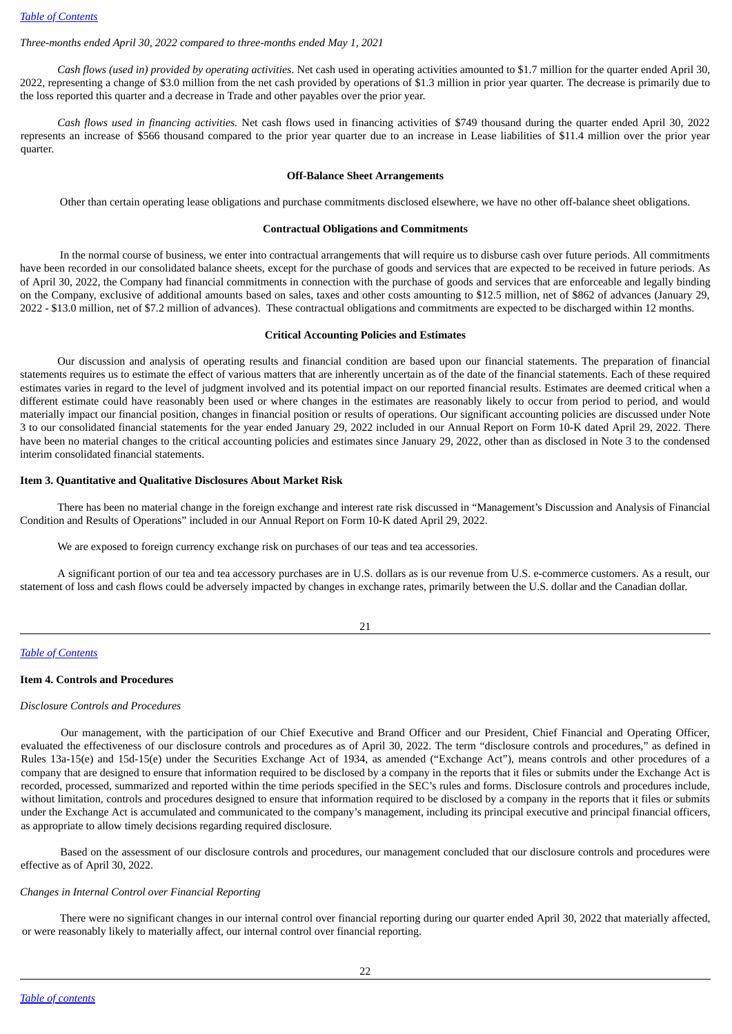*Three-months ended April 30, 2022 compared to three-months ended May 1, 2021*

*Cash flows (used in) provided by operating activities*. Net cash used in operating activities amounted to \$1.7 million for the quarter ended April 30, 2022, representing a change of \$3.0 million from the net cash provided by operations of \$1.3 million in prior year quarter. The decrease is primarily due to the loss reported this quarter and a decrease in Trade and other payables over the prior year.

*Cash flows used in financing activities.* Net cash flows used in financing activities of \$749 thousand during the quarter ended April 30, 2022 represents an increase of \$566 thousand compared to the prior year quarter due to an increase in Lease liabilities of \$11.4 million over the prior year quarter.

#### **Off-Balance Sheet Arrangements**

Other than certain operating lease obligations and purchase commitments disclosed elsewhere, we have no other off-balance sheet obligations.

#### **Contractual Obligations and Commitments**

In the normal course of business, we enter into contractual arrangements that will require us to disburse cash over future periods. All commitments have been recorded in our consolidated balance sheets, except for the purchase of goods and services that are expected to be received in future periods. As of April 30, 2022, the Company had financial commitments in connection with the purchase of goods and services that are enforceable and legally binding on the Company, exclusive of additional amounts based on sales, taxes and other costs amounting to \$12.5 million, net of \$862 of advances (January 29, 2022 - \$13.0 million, net of \$7.2 million of advances). These contractual obligations and commitments are expected to be discharged within 12 months.

#### **Critical Accounting Policies and Estimates**

Our discussion and analysis of operating results and financial condition are based upon our financial statements. The preparation of financial statements requires us to estimate the effect of various matters that are inherently uncertain as of the date of the financial statements. Each of these required estimates varies in regard to the level of judgment involved and its potential impact on our reported financial results. Estimates are deemed critical when a different estimate could have reasonably been used or where changes in the estimates are reasonably likely to occur from period to period, and would materially impact our financial position, changes in financial position or results of operations. Our significant accounting policies are discussed under Note 3 to our consolidated financial statements for the year ended January 29, 2022 included in our Annual Report on Form 10-K dated April 29, 2022. There have been no material changes to the critical accounting policies and estimates since January 29, 2022, other than as disclosed in Note 3 to the condensed interim consolidated financial statements.

#### <span id="page-14-0"></span>**Item 3. Quantitative and Qualitative Disclosures About Market Risk**

There has been no material change in the foreign exchange and interest rate risk discussed in "Management's Discussion and Analysis of Financial Condition and Results of Operations" included in our Annual Report on Form 10-K dated April 29, 2022.

We are exposed to foreign currency exchange risk on purchases of our teas and tea accessories.

A significant portion of our tea and tea accessory purchases are in U.S. dollars as is our revenue from U.S. e‑commerce customers. As a result, our statement of loss and cash flows could be adversely impacted by changes in exchange rates, primarily between the U.S. dollar and the Canadian dollar.

21

#### *Table of [Contents](#page-1-2)*

# <span id="page-14-1"></span>**Item 4. Controls and Procedures**

#### *Disclosure Controls and Procedures*

Our management, with the participation of our Chief Executive and Brand Officer and our President, Chief Financial and Operating Officer, evaluated the effectiveness of our disclosure controls and procedures as of April 30, 2022. The term "disclosure controls and procedures," as defined in Rules 13a-15(e) and 15d-15(e) under the Securities Exchange Act of 1934, as amended ("Exchange Act"), means controls and other procedures of a company that are designed to ensure that information required to be disclosed by a company in the reports that it files or submits under the Exchange Act is recorded, processed, summarized and reported within the time periods specified in the SEC's rules and forms. Disclosure controls and procedures include, without limitation, controls and procedures designed to ensure that information required to be disclosed by a company in the reports that it files or submits under the Exchange Act is accumulated and communicated to the company's management, including its principal executive and principal financial officers, as appropriate to allow timely decisions regarding required disclosure.

Based on the assessment of our disclosure controls and procedures, our management concluded that our disclosure controls and procedures were effective as of April 30, 2022.

#### *Changes in Internal Control over Financial Reporting*

There were no significant changes in our internal control over financial reporting during our quarter ended April 30, 2022 that materially affected, or were reasonably likely to materially affect, our internal control over financial reporting.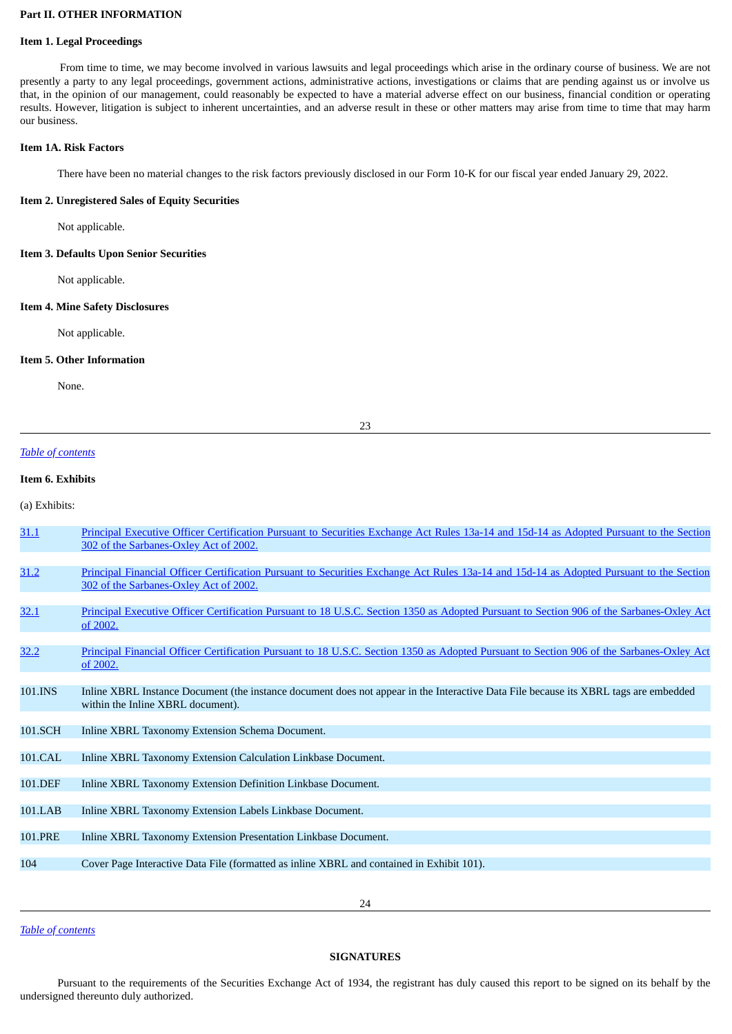#### <span id="page-15-0"></span>**Part II. OTHER INFORMATION**

#### <span id="page-15-1"></span>**Item 1. Legal Proceedings**

From time to time, we may become involved in various lawsuits and legal proceedings which arise in the ordinary course of business. We are not presently a party to any legal proceedings, government actions, administrative actions, investigations or claims that are pending against us or involve us that, in the opinion of our management, could reasonably be expected to have a material adverse effect on our business, financial condition or operating results. However, litigation is subject to inherent uncertainties, and an adverse result in these or other matters may arise from time to time that may harm our business.

#### <span id="page-15-2"></span>**Item 1A. Risk Factors**

There have been no material changes to the risk factors previously disclosed in our Form 10-K for our fiscal year ended January 29, 2022.

### <span id="page-15-3"></span>**Item 2. Unregistered Sales of Equity Securities**

Not applicable.

#### <span id="page-15-4"></span>**Item 3. Defaults Upon Senior Securities**

Not applicable.

#### <span id="page-15-5"></span>**Item 4. Mine Safety Disclosures**

Not applicable.

# <span id="page-15-6"></span>**Item 5. Other Information**

None.

#### *Table of [contents](#page-1-2)*

# <span id="page-15-7"></span>**Item 6. Exhibits**

(a) Exhibits:

| 31.1        | Principal Executive Officer Certification Pursuant to Securities Exchange Act Rules 13a-14 and 15d-14 as Adopted Pursuant to the Section<br>302 of the Sarbanes-Oxley Act of 2002. |
|-------------|------------------------------------------------------------------------------------------------------------------------------------------------------------------------------------|
| 31.2        | Principal Financial Officer Certification Pursuant to Securities Exchange Act Rules 13a-14 and 15d-14 as Adopted Pursuant to the Section<br>302 of the Sarbanes-Oxley Act of 2002. |
| <u>32.1</u> | Principal Executive Officer Certification Pursuant to 18 U.S.C. Section 1350 as Adopted Pursuant to Section 906 of the Sarbanes-Oxley Act<br>of 2002.                              |
| 32.2        | Principal Financial Officer Certification Pursuant to 18 U.S.C. Section 1350 as Adopted Pursuant to Section 906 of the Sarbanes-Oxley Act<br>of 2002.                              |
| 101.INS     | Inline XBRL Instance Document (the instance document does not appear in the Interactive Data File because its XBRL tags are embedded<br>within the Inline XBRL document).          |
| 101.SCH     | Inline XBRL Taxonomy Extension Schema Document.                                                                                                                                    |
| 101.CAL     | Inline XBRL Taxonomy Extension Calculation Linkbase Document.                                                                                                                      |
| 101.DEF     | Inline XBRL Taxonomy Extension Definition Linkbase Document.                                                                                                                       |
| 101.LAB     | Inline XBRL Taxonomy Extension Labels Linkbase Document.                                                                                                                           |
| 101.PRE     | Inline XBRL Taxonomy Extension Presentation Linkbase Document.                                                                                                                     |
| 104         | Cover Page Interactive Data File (formatted as inline XBRL and contained in Exhibit 101).                                                                                          |

24

*Table of [contents](#page-1-2)*

#### **SIGNATURES**

Pursuant to the requirements of the Securities Exchange Act of 1934, the registrant has duly caused this report to be signed on its behalf by the undersigned thereunto duly authorized.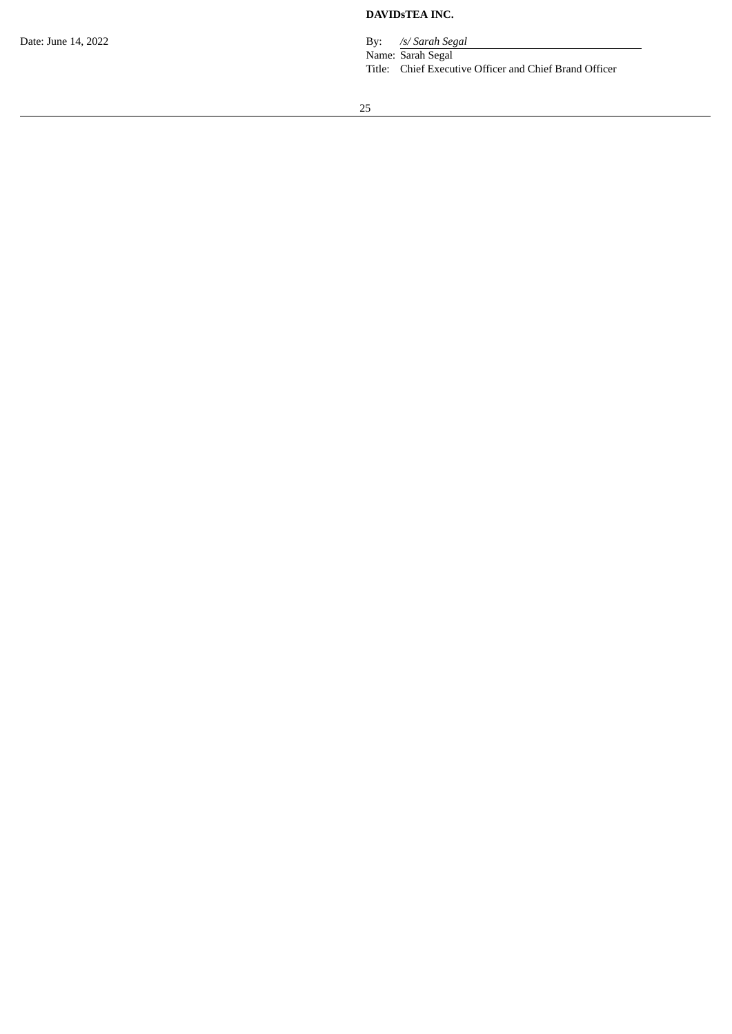Date: June 14, 2022 By: */s/ Sarah Segal*

**DAVIDsTEA INC.**

Name: Sarah Segal Title: Chief Executive Officer and Chief Brand Officer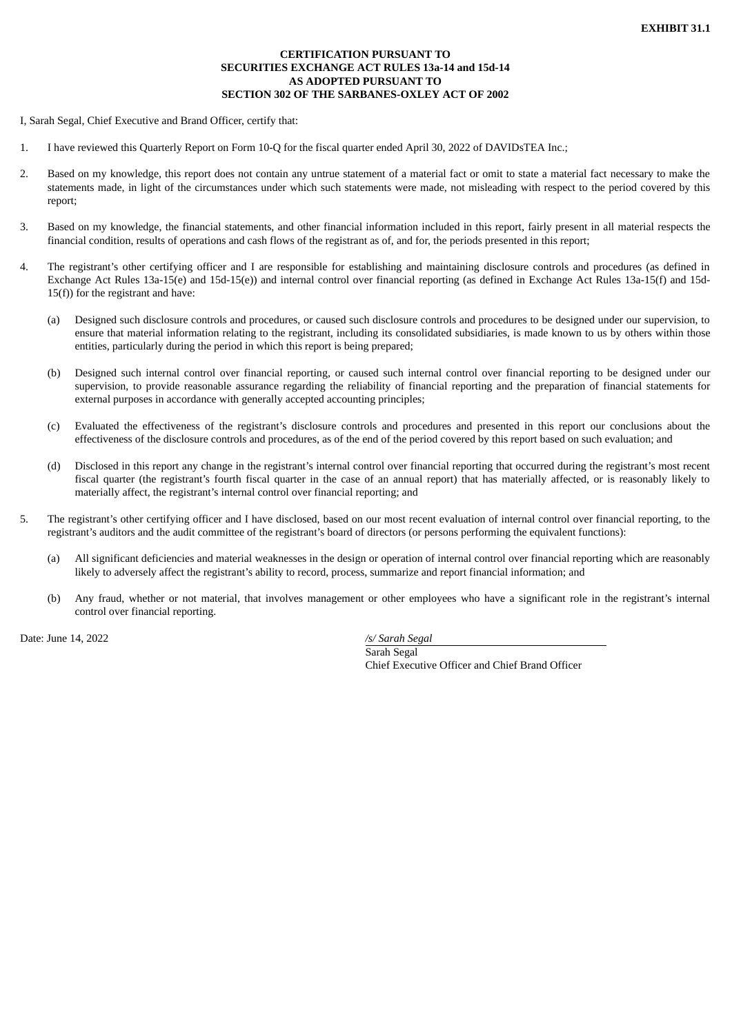# **CERTIFICATION PURSUANT TO SECURITIES EXCHANGE ACT RULES 13a-14 and 15d-14 AS ADOPTED PURSUANT TO SECTION 302 OF THE SARBANES-OXLEY ACT OF 2002**

<span id="page-17-0"></span>I, Sarah Segal, Chief Executive and Brand Officer, certify that:

- 1. I have reviewed this Quarterly Report on Form 10-Q for the fiscal quarter ended April 30, 2022 of DAVIDsTEA Inc.;
- 2. Based on my knowledge, this report does not contain any untrue statement of a material fact or omit to state a material fact necessary to make the statements made, in light of the circumstances under which such statements were made, not misleading with respect to the period covered by this report;
- 3. Based on my knowledge, the financial statements, and other financial information included in this report, fairly present in all material respects the financial condition, results of operations and cash flows of the registrant as of, and for, the periods presented in this report;
- 4. The registrant's other certifying officer and I are responsible for establishing and maintaining disclosure controls and procedures (as defined in Exchange Act Rules 13a-15(e) and 15d-15(e)) and internal control over financial reporting (as defined in Exchange Act Rules 13a-15(f) and 15d- $15(f)$ ) for the registrant and have:
	- (a) Designed such disclosure controls and procedures, or caused such disclosure controls and procedures to be designed under our supervision, to ensure that material information relating to the registrant, including its consolidated subsidiaries, is made known to us by others within those entities, particularly during the period in which this report is being prepared;
	- (b) Designed such internal control over financial reporting, or caused such internal control over financial reporting to be designed under our supervision, to provide reasonable assurance regarding the reliability of financial reporting and the preparation of financial statements for external purposes in accordance with generally accepted accounting principles;
	- (c) Evaluated the effectiveness of the registrant's disclosure controls and procedures and presented in this report our conclusions about the effectiveness of the disclosure controls and procedures, as of the end of the period covered by this report based on such evaluation; and
	- (d) Disclosed in this report any change in the registrant's internal control over financial reporting that occurred during the registrant's most recent fiscal quarter (the registrant's fourth fiscal quarter in the case of an annual report) that has materially affected, or is reasonably likely to materially affect, the registrant's internal control over financial reporting; and
- 5. The registrant's other certifying officer and I have disclosed, based on our most recent evaluation of internal control over financial reporting, to the registrant's auditors and the audit committee of the registrant's board of directors (or persons performing the equivalent functions):
	- (a) All significant deficiencies and material weaknesses in the design or operation of internal control over financial reporting which are reasonably likely to adversely affect the registrant's ability to record, process, summarize and report financial information; and
	- (b) Any fraud, whether or not material, that involves management or other employees who have a significant role in the registrant's internal control over financial reporting.

Date: June 14, 2022 */s/ Sarah Segal*

Sarah Segal Chief Executive Officer and Chief Brand Officer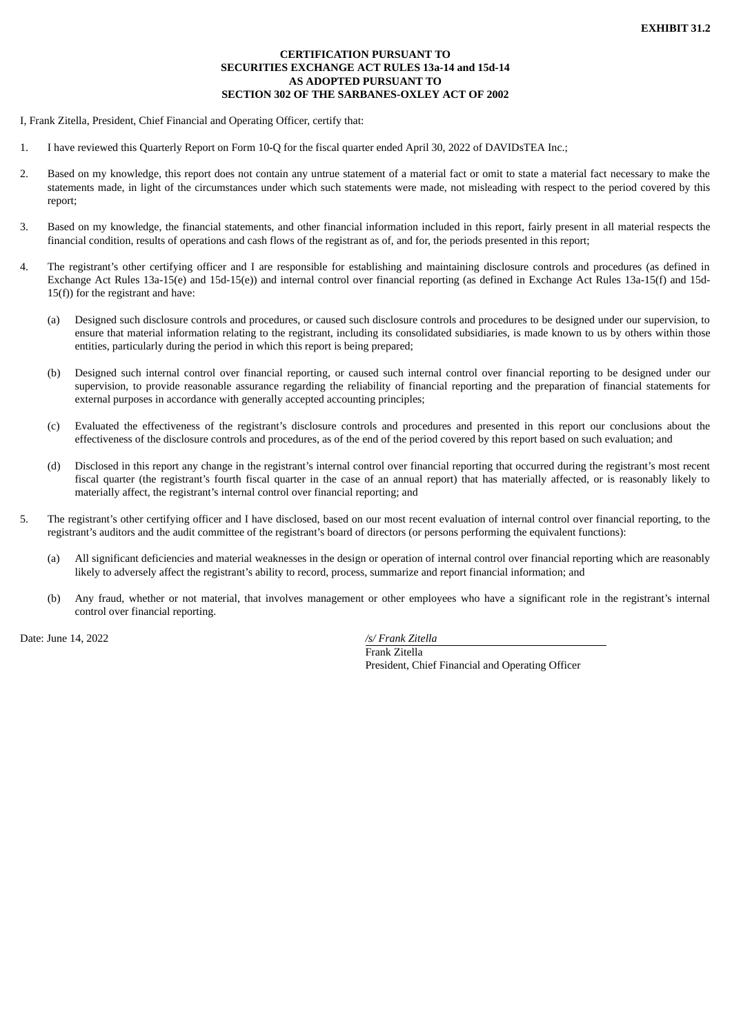# **CERTIFICATION PURSUANT TO SECURITIES EXCHANGE ACT RULES 13a-14 and 15d-14 AS ADOPTED PURSUANT TO SECTION 302 OF THE SARBANES-OXLEY ACT OF 2002**

<span id="page-18-0"></span>I, Frank Zitella, President, Chief Financial and Operating Officer, certify that:

- 1. I have reviewed this Quarterly Report on Form 10-Q for the fiscal quarter ended April 30, 2022 of DAVIDsTEA Inc.;
- 2. Based on my knowledge, this report does not contain any untrue statement of a material fact or omit to state a material fact necessary to make the statements made, in light of the circumstances under which such statements were made, not misleading with respect to the period covered by this report;
- 3. Based on my knowledge, the financial statements, and other financial information included in this report, fairly present in all material respects the financial condition, results of operations and cash flows of the registrant as of, and for, the periods presented in this report;
- 4. The registrant's other certifying officer and I are responsible for establishing and maintaining disclosure controls and procedures (as defined in Exchange Act Rules 13a-15(e) and 15d-15(e)) and internal control over financial reporting (as defined in Exchange Act Rules 13a-15(f) and 15d- $15(f)$ ) for the registrant and have:
	- (a) Designed such disclosure controls and procedures, or caused such disclosure controls and procedures to be designed under our supervision, to ensure that material information relating to the registrant, including its consolidated subsidiaries, is made known to us by others within those entities, particularly during the period in which this report is being prepared;
	- (b) Designed such internal control over financial reporting, or caused such internal control over financial reporting to be designed under our supervision, to provide reasonable assurance regarding the reliability of financial reporting and the preparation of financial statements for external purposes in accordance with generally accepted accounting principles;
	- (c) Evaluated the effectiveness of the registrant's disclosure controls and procedures and presented in this report our conclusions about the effectiveness of the disclosure controls and procedures, as of the end of the period covered by this report based on such evaluation; and
	- (d) Disclosed in this report any change in the registrant's internal control over financial reporting that occurred during the registrant's most recent fiscal quarter (the registrant's fourth fiscal quarter in the case of an annual report) that has materially affected, or is reasonably likely to materially affect, the registrant's internal control over financial reporting; and
- 5. The registrant's other certifying officer and I have disclosed, based on our most recent evaluation of internal control over financial reporting, to the registrant's auditors and the audit committee of the registrant's board of directors (or persons performing the equivalent functions):
	- (a) All significant deficiencies and material weaknesses in the design or operation of internal control over financial reporting which are reasonably likely to adversely affect the registrant's ability to record, process, summarize and report financial information; and
	- (b) Any fraud, whether or not material, that involves management or other employees who have a significant role in the registrant's internal control over financial reporting.

Date: June 14, 2022 */s/ Frank Zitella*

Frank Zitella President, Chief Financial and Operating Officer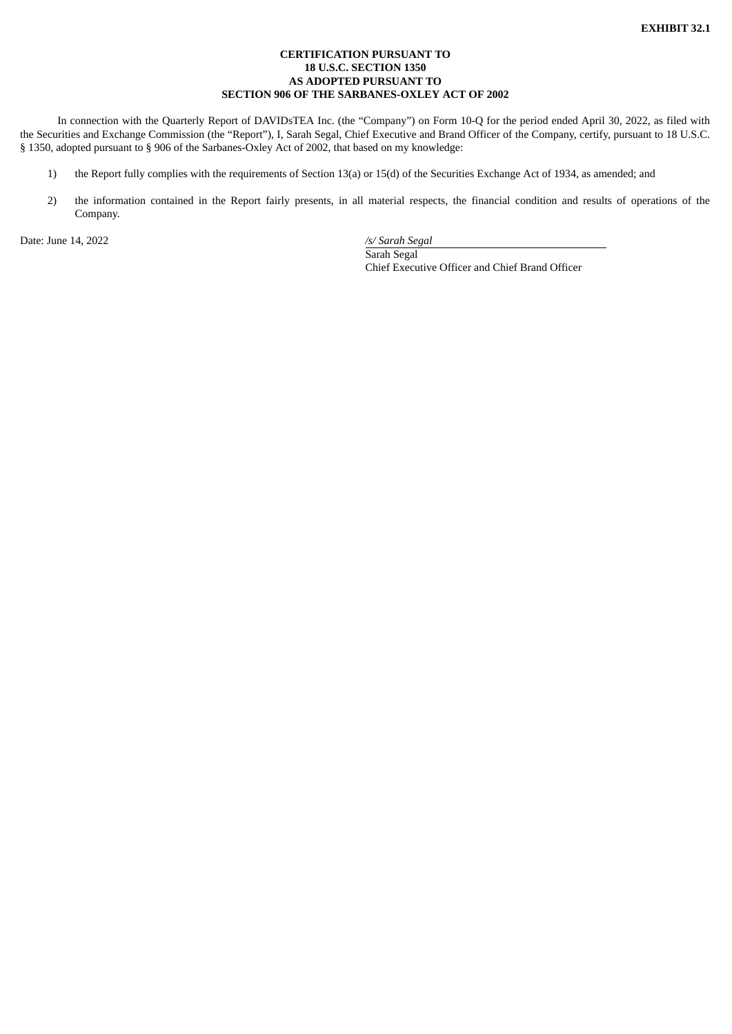# **CERTIFICATION PURSUANT TO 18 U.S.C. SECTION 1350 AS ADOPTED PURSUANT TO SECTION 906 OF THE SARBANES-OXLEY ACT OF 2002**

<span id="page-19-0"></span>In connection with the Quarterly Report of DAVIDsTEA Inc. (the "Company") on Form 10-Q for the period ended April 30, 2022, as filed with the Securities and Exchange Commission (the "Report"), I, Sarah Segal, Chief Executive and Brand Officer of the Company, certify, pursuant to 18 U.S.C. § 1350, adopted pursuant to § 906 of the Sarbanes-Oxley Act of 2002, that based on my knowledge:

- 1) the Report fully complies with the requirements of Section 13(a) or 15(d) of the Securities Exchange Act of 1934, as amended; and
- 2) the information contained in the Report fairly presents, in all material respects, the financial condition and results of operations of the Company.

Date: June 14, 2022 */s/ Sarah Segal*

Sarah Segal Chief Executive Officer and Chief Brand Officer